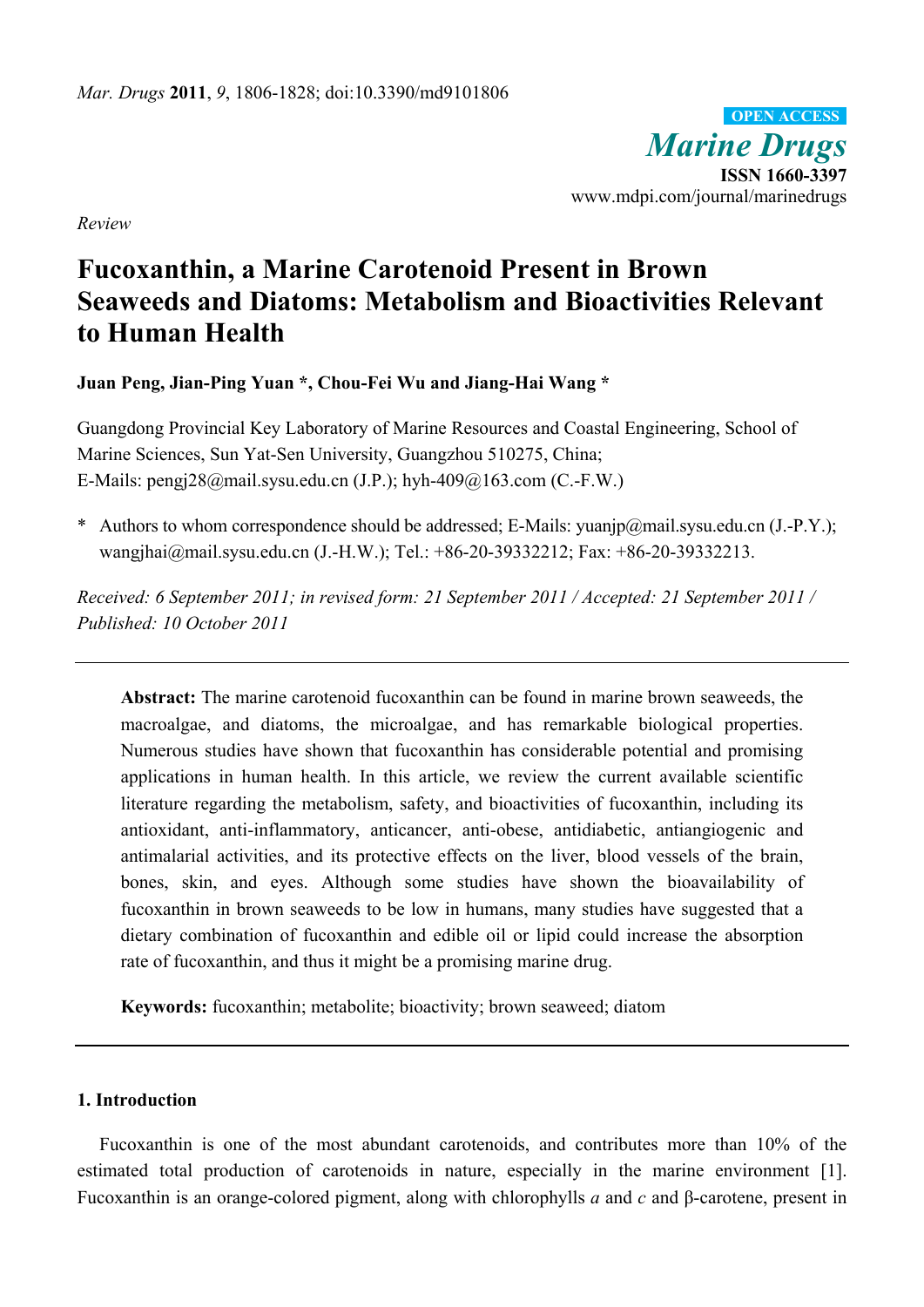*Marine Drugs* **ISSN 1660-3397**  www.mdpi.com/journal/marinedrugs **OPEN ACCESS**

*Review* 

# **Fucoxanthin, a Marine Carotenoid Present in Brown Seaweeds and Diatoms: Metabolism and Bioactivities Relevant to Human Health**

**Juan Peng, Jian-Ping Yuan \*, Chou-Fei Wu and Jiang-Hai Wang \*** 

Guangdong Provincial Key Laboratory of Marine Resources and Coastal Engineering, School of Marine Sciences, Sun Yat-Sen University, Guangzhou 510275, China; E-Mails: pengj28@mail.sysu.edu.cn (J.P.); hyh-409@163.com (C.-F.W.)

\* Authors to whom correspondence should be addressed; E-Mails: yuanjp@mail.sysu.edu.cn (J.-P.Y.); wangjhai@mail.sysu.edu.cn (J.-H.W.); Tel.: +86-20-39332212; Fax: +86-20-39332213.

*Received: 6 September 2011; in revised form: 21 September 2011 / Accepted: 21 September 2011 / Published: 10 October 2011* 

**Abstract:** The marine carotenoid fucoxanthin can be found in marine brown seaweeds, the macroalgae, and diatoms, the microalgae, and has remarkable biological properties. Numerous studies have shown that fucoxanthin has considerable potential and promising applications in human health. In this article, we review the current available scientific literature regarding the metabolism, safety, and bioactivities of fucoxanthin, including its antioxidant, anti-inflammatory, anticancer, anti-obese, antidiabetic, antiangiogenic and antimalarial activities, and its protective effects on the liver, blood vessels of the brain, bones, skin, and eyes. Although some studies have shown the bioavailability of fucoxanthin in brown seaweeds to be low in humans, many studies have suggested that a dietary combination of fucoxanthin and edible oil or lipid could increase the absorption rate of fucoxanthin, and thus it might be a promising marine drug.

**Keywords:** fucoxanthin; metabolite; bioactivity; brown seaweed; diatom

# **1. Introduction**

Fucoxanthin is one of the most abundant carotenoids, and contributes more than 10% of the estimated total production of carotenoids in nature, especially in the marine environment [1]. Fucoxanthin is an orange-colored pigment, along with chlorophylls *a* and *c* and β-carotene, present in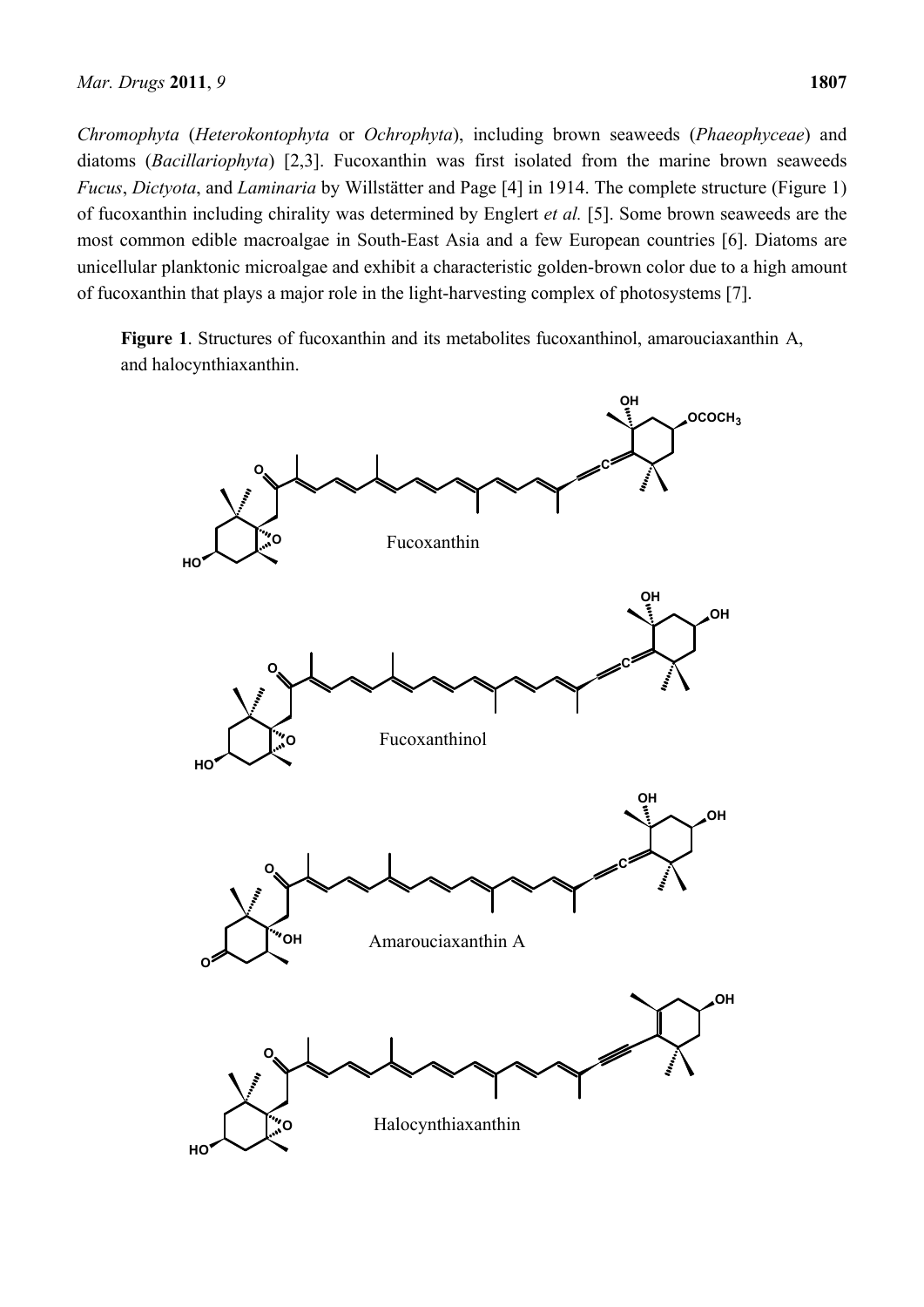*Chromophyta* (*Heterokontophyta* or *Ochrophyta*), including brown seaweeds (*Phaeophyceae*) and diatoms (*Bacillariophyta*) [2,3]. Fucoxanthin was first isolated from the marine brown seaweeds *Fucus*, *Dictyota*, and *Laminaria* by Willstätter and Page [4] in 1914. The complete structure (Figure 1) of fucoxanthin including chirality was determined by Englert *et al.* [5]. Some brown seaweeds are the most common edible macroalgae in South-East Asia and a few European countries [6]. Diatoms are unicellular planktonic microalgae and exhibit a characteristic golden-brown color due to a high amount of fucoxanthin that plays a major role in the light-harvesting complex of photosystems [7].

**Figure 1**. Structures of fucoxanthin and its metabolites fucoxanthinol, amarouciaxanthin A, and halocynthiaxanthin.

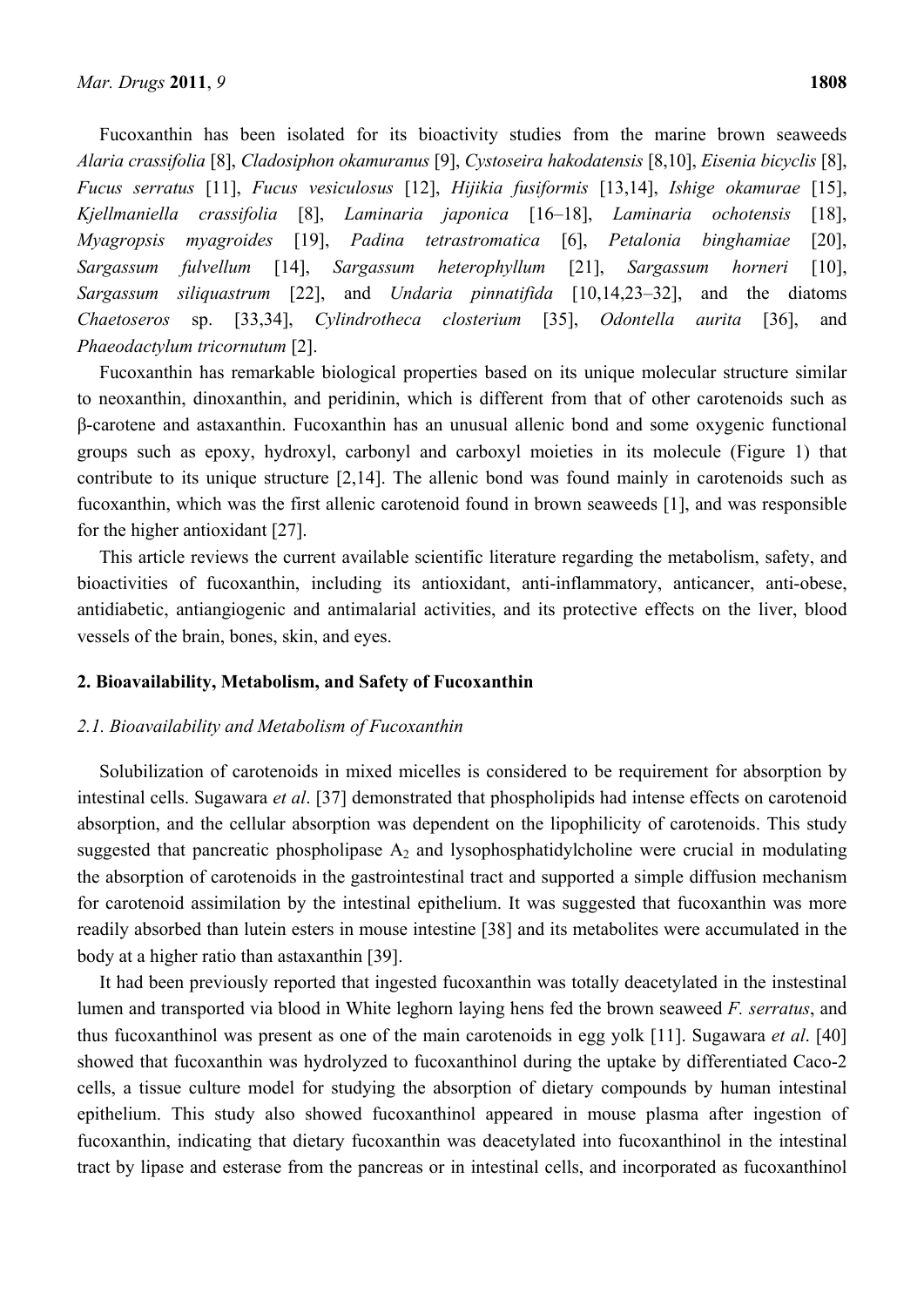Fucoxanthin has been isolated for its bioactivity studies from the marine brown seaweeds *Alaria crassifolia* [8], *Cladosiphon okamuranus* [9], *Cystoseira hakodatensis* [8,10], *Eisenia bicyclis* [8], *Fucus serratus* [11], *Fucus vesiculosus* [12], *Hijikia fusiformis* [13,14], *Ishige okamurae* [15], *Kjellmaniella crassifolia* [8], *Laminaria japonica* [16–18], *Laminaria ochotensis* [18], *Myagropsis myagroides* [19], *Padina tetrastromatica* [6], *Petalonia binghamiae* [20], *Sargassum fulvellum* [14], *Sargassum heterophyllum* [21], *Sargassum horneri* [10], *Sargassum siliquastrum* [22], and *Undaria pinnatifida* [10,14,23–32], and the diatoms *Chaetoseros* sp. [33,34], *Cylindrotheca closterium* [35], *Odontella aurita* [36], and *Phaeodactylum tricornutum* [2].

Fucoxanthin has remarkable biological properties based on its unique molecular structure similar to neoxanthin, dinoxanthin, and peridinin, which is different from that of other carotenoids such as β-carotene and astaxanthin. Fucoxanthin has an unusual allenic bond and some oxygenic functional groups such as epoxy, hydroxyl, carbonyl and carboxyl moieties in its molecule (Figure 1) that contribute to its unique structure [2,14]. The allenic bond was found mainly in carotenoids such as fucoxanthin, which was the first allenic carotenoid found in brown seaweeds [1], and was responsible for the higher antioxidant [27].

This article reviews the current available scientific literature regarding the metabolism, safety, and bioactivities of fucoxanthin, including its antioxidant, anti-inflammatory, anticancer, anti-obese, antidiabetic, antiangiogenic and antimalarial activities, and its protective effects on the liver, blood vessels of the brain, bones, skin, and eyes.

## **2. Bioavailability, Metabolism, and Safety of Fucoxanthin**

#### *2.1. Bioavailability and Metabolism of Fucoxanthin*

Solubilization of carotenoids in mixed micelles is considered to be requirement for absorption by intestinal cells. Sugawara *et al*. [37] demonstrated that phospholipids had intense effects on carotenoid absorption, and the cellular absorption was dependent on the lipophilicity of carotenoids. This study suggested that pancreatic phospholipase  $A_2$  and lysophosphatidylcholine were crucial in modulating the absorption of carotenoids in the gastrointestinal tract and supported a simple diffusion mechanism for carotenoid assimilation by the intestinal epithelium. It was suggested that fucoxanthin was more readily absorbed than lutein esters in mouse intestine [38] and its metabolites were accumulated in the body at a higher ratio than astaxanthin [39].

It had been previously reported that ingested fucoxanthin was totally deacetylated in the instestinal lumen and transported via blood in White leghorn laying hens fed the brown seaweed *F. serratus*, and thus fucoxanthinol was present as one of the main carotenoids in egg yolk [11]. Sugawara *et al*. [40] showed that fucoxanthin was hydrolyzed to fucoxanthinol during the uptake by differentiated Caco-2 cells, a tissue culture model for studying the absorption of dietary compounds by human intestinal epithelium. This study also showed fucoxanthinol appeared in mouse plasma after ingestion of fucoxanthin, indicating that dietary fucoxanthin was deacetylated into fucoxanthinol in the intestinal tract by lipase and esterase from the pancreas or in intestinal cells, and incorporated as fucoxanthinol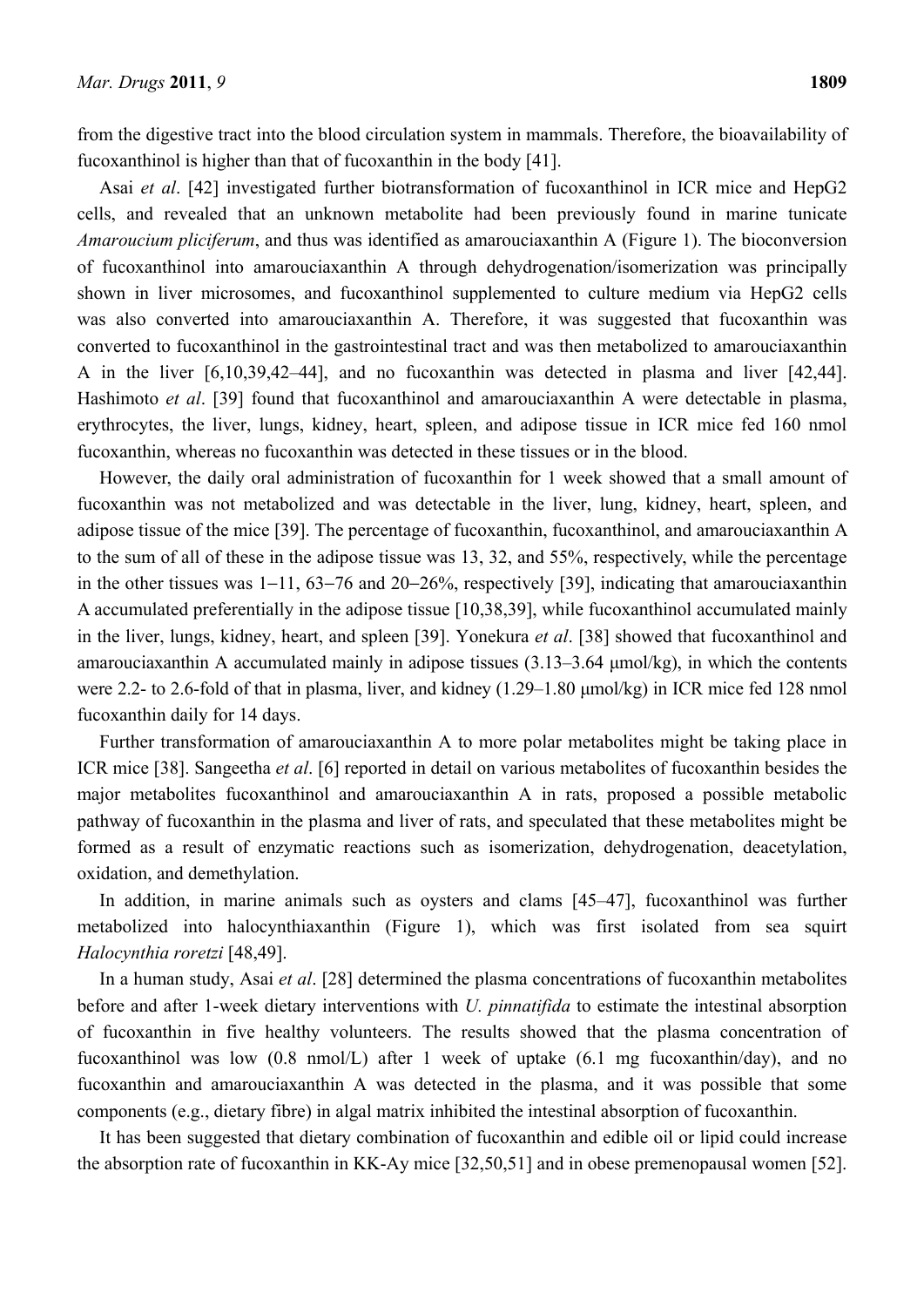from the digestive tract into the blood circulation system in mammals. Therefore, the bioavailability of fucoxanthinol is higher than that of fucoxanthin in the body [41].

Asai *et al*. [42] investigated further biotransformation of fucoxanthinol in ICR mice and HepG2 cells, and revealed that an unknown metabolite had been previously found in marine tunicate *Amaroucium pliciferum*, and thus was identified as amarouciaxanthin A (Figure 1). The bioconversion of fucoxanthinol into amarouciaxanthin A through dehydrogenation/isomerization was principally shown in liver microsomes, and fucoxanthinol supplemented to culture medium via HepG2 cells was also converted into amarouciaxanthin A. Therefore, it was suggested that fucoxanthin was converted to fucoxanthinol in the gastrointestinal tract and was then metabolized to amarouciaxanthin A in the liver [6,10,39,42–44], and no fucoxanthin was detected in plasma and liver [42,44]. Hashimoto *et al*. [39] found that fucoxanthinol and amarouciaxanthin A were detectable in plasma, erythrocytes, the liver, lungs, kidney, heart, spleen, and adipose tissue in ICR mice fed 160 nmol fucoxanthin, whereas no fucoxanthin was detected in these tissues or in the blood.

However, the daily oral administration of fucoxanthin for 1 week showed that a small amount of fucoxanthin was not metabolized and was detectable in the liver, lung, kidney, heart, spleen, and adipose tissue of the mice [39]. The percentage of fucoxanthin, fucoxanthinol, and amarouciaxanthin A to the sum of all of these in the adipose tissue was 13, 32, and 55%, respectively, while the percentage in the other tissues was 1−11, 63−76 and 20−26%, respectively [39], indicating that amarouciaxanthin A accumulated preferentially in the adipose tissue [10,38,39], while fucoxanthinol accumulated mainly in the liver, lungs, kidney, heart, and spleen [39]. Yonekura *et al*. [38] showed that fucoxanthinol and amarouciaxanthin A accumulated mainly in adipose tissues (3.13–3.64 μmol/kg), in which the contents were 2.2- to 2.6-fold of that in plasma, liver, and kidney (1.29–1.80 μmol/kg) in ICR mice fed 128 nmol fucoxanthin daily for 14 days.

Further transformation of amarouciaxanthin A to more polar metabolites might be taking place in ICR mice [38]. Sangeetha *et al*. [6] reported in detail on various metabolites of fucoxanthin besides the major metabolites fucoxanthinol and amarouciaxanthin A in rats, proposed a possible metabolic pathway of fucoxanthin in the plasma and liver of rats, and speculated that these metabolites might be formed as a result of enzymatic reactions such as isomerization, dehydrogenation, deacetylation, oxidation, and demethylation.

In addition, in marine animals such as oysters and clams [45–47], fucoxanthinol was further metabolized into halocynthiaxanthin (Figure 1), which was first isolated from sea squirt *Halocynthia roretzi* [48,49].

In a human study, Asai *et al*. [28] determined the plasma concentrations of fucoxanthin metabolites before and after 1-week dietary interventions with *U. pinnatifida* to estimate the intestinal absorption of fucoxanthin in five healthy volunteers. The results showed that the plasma concentration of fucoxanthinol was low (0.8 nmol/L) after 1 week of uptake (6.1 mg fucoxanthin/day), and no fucoxanthin and amarouciaxanthin A was detected in the plasma, and it was possible that some components (e.g., dietary fibre) in algal matrix inhibited the intestinal absorption of fucoxanthin.

It has been suggested that dietary combination of fucoxanthin and edible oil or lipid could increase the absorption rate of fucoxanthin in KK-Ay mice [32,50,51] and in obese premenopausal women [52].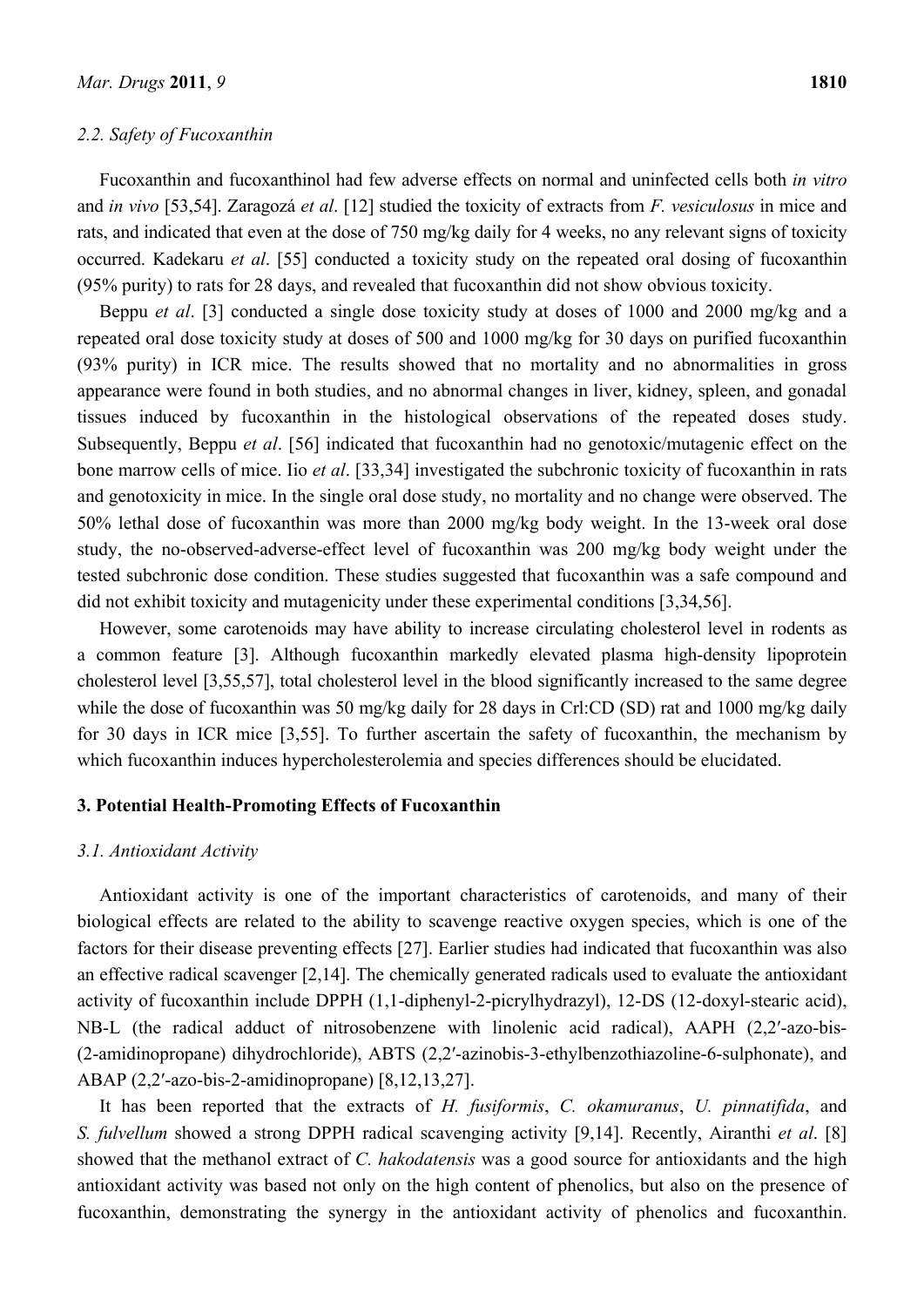#### *2.2. Safety of Fucoxanthin*

Fucoxanthin and fucoxanthinol had few adverse effects on normal and uninfected cells both *in vitro* and *in vivo* [53,54]. Zaragozá *et al*. [12] studied the toxicity of extracts from *F. vesiculosus* in mice and rats, and indicated that even at the dose of 750 mg/kg daily for 4 weeks, no any relevant signs of toxicity occurred. Kadekaru *et al*. [55] conducted a toxicity study on the repeated oral dosing of fucoxanthin (95% purity) to rats for 28 days, and revealed that fucoxanthin did not show obvious toxicity.

Beppu *et al*. [3] conducted a single dose toxicity study at doses of 1000 and 2000 mg/kg and a repeated oral dose toxicity study at doses of 500 and 1000 mg/kg for 30 days on purified fucoxanthin (93% purity) in ICR mice. The results showed that no mortality and no abnormalities in gross appearance were found in both studies, and no abnormal changes in liver, kidney, spleen, and gonadal tissues induced by fucoxanthin in the histological observations of the repeated doses study. Subsequently, Beppu *et al*. [56] indicated that fucoxanthin had no genotoxic/mutagenic effect on the bone marrow cells of mice. Iio *et al*. [33,34] investigated the subchronic toxicity of fucoxanthin in rats and genotoxicity in mice. In the single oral dose study, no mortality and no change were observed. The 50% lethal dose of fucoxanthin was more than 2000 mg/kg body weight. In the 13-week oral dose study, the no-observed-adverse-effect level of fucoxanthin was 200 mg/kg body weight under the tested subchronic dose condition. These studies suggested that fucoxanthin was a safe compound and did not exhibit toxicity and mutagenicity under these experimental conditions [3,34,56].

However, some carotenoids may have ability to increase circulating cholesterol level in rodents as a common feature [3]. Although fucoxanthin markedly elevated plasma high-density lipoprotein cholesterol level [3,55,57], total cholesterol level in the blood significantly increased to the same degree while the dose of fucoxanthin was 50 mg/kg daily for 28 days in Crl:CD (SD) rat and 1000 mg/kg daily for 30 days in ICR mice [3,55]. To further ascertain the safety of fucoxanthin, the mechanism by which fucoxanthin induces hypercholesterolemia and species differences should be elucidated.

## **3. Potential Health-Promoting Effects of Fucoxanthin**

### *3.1. Antioxidant Activity*

Antioxidant activity is one of the important characteristics of carotenoids, and many of their biological effects are related to the ability to scavenge reactive oxygen species, which is one of the factors for their disease preventing effects [27]. Earlier studies had indicated that fucoxanthin was also an effective radical scavenger [2,14]. The chemically generated radicals used to evaluate the antioxidant activity of fucoxanthin include DPPH (1,1-diphenyl-2-picrylhydrazyl), 12-DS (12-doxyl-stearic acid), NB-L (the radical adduct of nitrosobenzene with linolenic acid radical), AAPH (2,2′-azo-bis- (2-amidinopropane) dihydrochloride), ABTS (2,2′-azinobis-3-ethylbenzothiazoline-6-sulphonate), and ABAP (2,2′-azo-bis-2-amidinopropane) [8,12,13,27].

It has been reported that the extracts of *H. fusiformis*, *C. okamuranus*, *U. pinnatifida*, and *S. fulvellum* showed a strong DPPH radical scavenging activity [9,14]. Recently, Airanthi *et al*. [8] showed that the methanol extract of *C. hakodatensis* was a good source for antioxidants and the high antioxidant activity was based not only on the high content of phenolics, but also on the presence of fucoxanthin, demonstrating the synergy in the antioxidant activity of phenolics and fucoxanthin.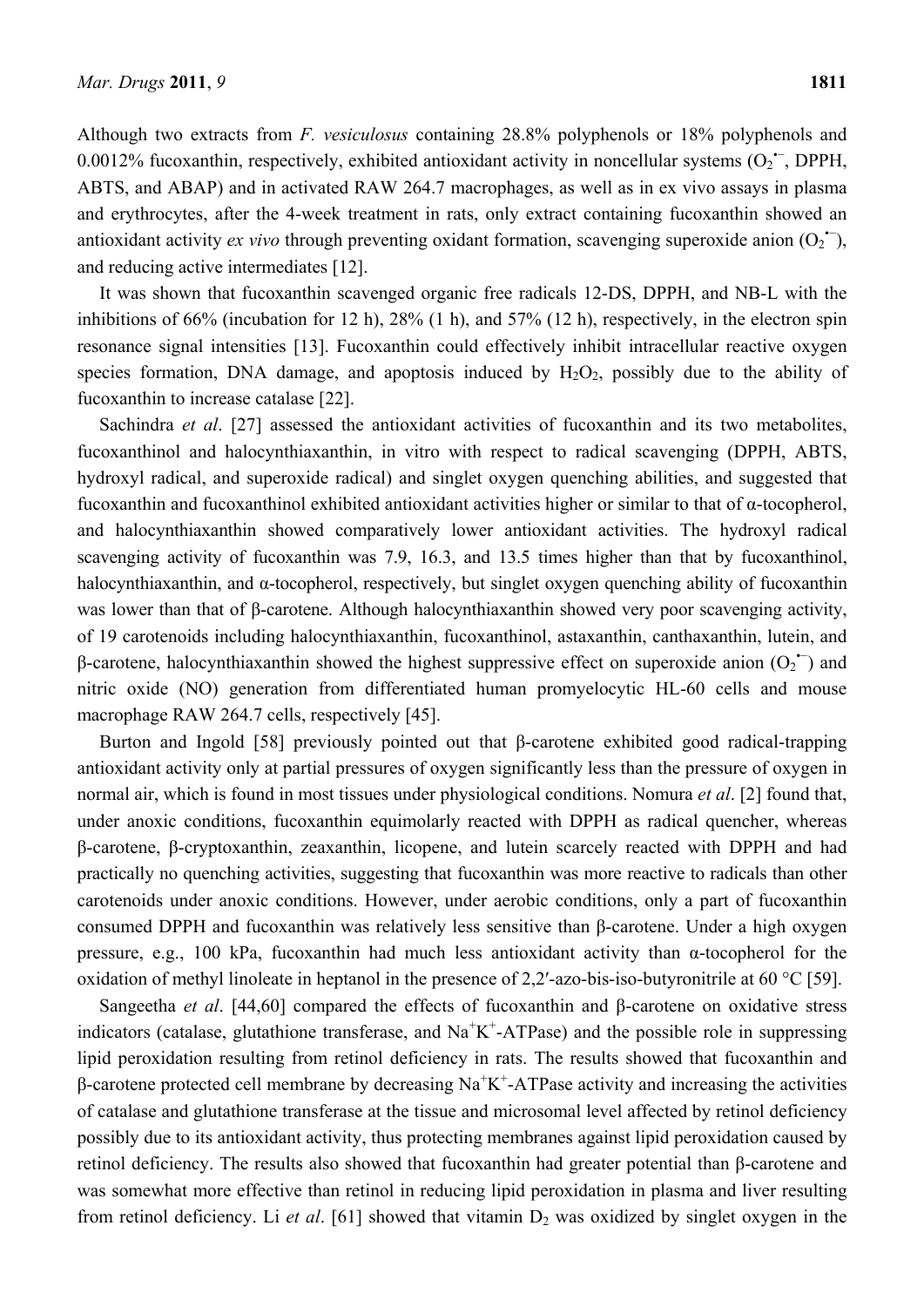Although two extracts from *F. vesiculosus* containing 28.8% polyphenols or 18% polyphenols and 0.0012% fucoxanthin, respectively, exhibited antioxidant activity in noncellular systems  $(O_2^{\text{--}}$ , DPPH, ABTS, and ABAP) and in activated RAW 264.7 macrophages, as well as in ex vivo assays in plasma and erythrocytes, after the 4-week treatment in rats, only extract containing fucoxanthin showed an antioxidant activity *ex vivo* through preventing oxidant formation, scavenging superoxide anion  $(O_2^{\bullet})$ , and reducing active intermediates [12].

It was shown that fucoxanthin scavenged organic free radicals 12-DS, DPPH, and NB-L with the inhibitions of 66% (incubation for 12 h), 28% (1 h), and 57% (12 h), respectively, in the electron spin resonance signal intensities [13]. Fucoxanthin could effectively inhibit intracellular reactive oxygen species formation, DNA damage, and apoptosis induced by  $H_2O_2$ , possibly due to the ability of fucoxanthin to increase catalase [22].

Sachindra *et al*. [27] assessed the antioxidant activities of fucoxanthin and its two metabolites, fucoxanthinol and halocynthiaxanthin, in vitro with respect to radical scavenging (DPPH, ABTS, hydroxyl radical, and superoxide radical) and singlet oxygen quenching abilities, and suggested that fucoxanthin and fucoxanthinol exhibited antioxidant activities higher or similar to that of α-tocopherol, and halocynthiaxanthin showed comparatively lower antioxidant activities. The hydroxyl radical scavenging activity of fucoxanthin was 7.9, 16.3, and 13.5 times higher than that by fucoxanthinol, halocynthiaxanthin, and α-tocopherol, respectively, but singlet oxygen quenching ability of fucoxanthin was lower than that of β-carotene. Although halocynthiaxanthin showed very poor scavenging activity, of 19 carotenoids including halocynthiaxanthin, fucoxanthinol, astaxanthin, canthaxanthin, lutein, and β-carotene, halocynthiaxanthin showed the highest suppressive effect on superoxide anion  $(O_2$ <sup>+</sup>) and nitric oxide (NO) generation from differentiated human promyelocytic HL-60 cells and mouse macrophage RAW 264.7 cells, respectively [45].

Burton and Ingold [58] previously pointed out that β-carotene exhibited good radical-trapping antioxidant activity only at partial pressures of oxygen significantly less than the pressure of oxygen in normal air, which is found in most tissues under physiological conditions. Nomura *et al*. [2] found that, under anoxic conditions, fucoxanthin equimolarly reacted with DPPH as radical quencher, whereas β-carotene, β-cryptoxanthin, zeaxanthin, licopene, and lutein scarcely reacted with DPPH and had practically no quenching activities, suggesting that fucoxanthin was more reactive to radicals than other carotenoids under anoxic conditions. However, under aerobic conditions, only a part of fucoxanthin consumed DPPH and fucoxanthin was relatively less sensitive than β-carotene. Under a high oxygen pressure, e.g., 100 kPa, fucoxanthin had much less antioxidant activity than α-tocopherol for the oxidation of methyl linoleate in heptanol in the presence of 2,2′-azo-bis-iso-butyronitrile at 60 °C [59].

Sangeetha *et al*. [44,60] compared the effects of fucoxanthin and β-carotene on oxidative stress indicators (catalase, glutathione transferase, and  $\text{Na}^+\text{K}^+$ -ATPase) and the possible role in suppressing lipid peroxidation resulting from retinol deficiency in rats. The results showed that fucoxanthin and β-carotene protected cell membrane by decreasing  $Na<sup>+</sup>K<sup>+</sup>-ATP$ ase activity and increasing the activities of catalase and glutathione transferase at the tissue and microsomal level affected by retinol deficiency possibly due to its antioxidant activity, thus protecting membranes against lipid peroxidation caused by retinol deficiency. The results also showed that fucoxanthin had greater potential than β-carotene and was somewhat more effective than retinol in reducing lipid peroxidation in plasma and liver resulting from retinol deficiency. Li et al. [61] showed that vitamin D<sub>2</sub> was oxidized by singlet oxygen in the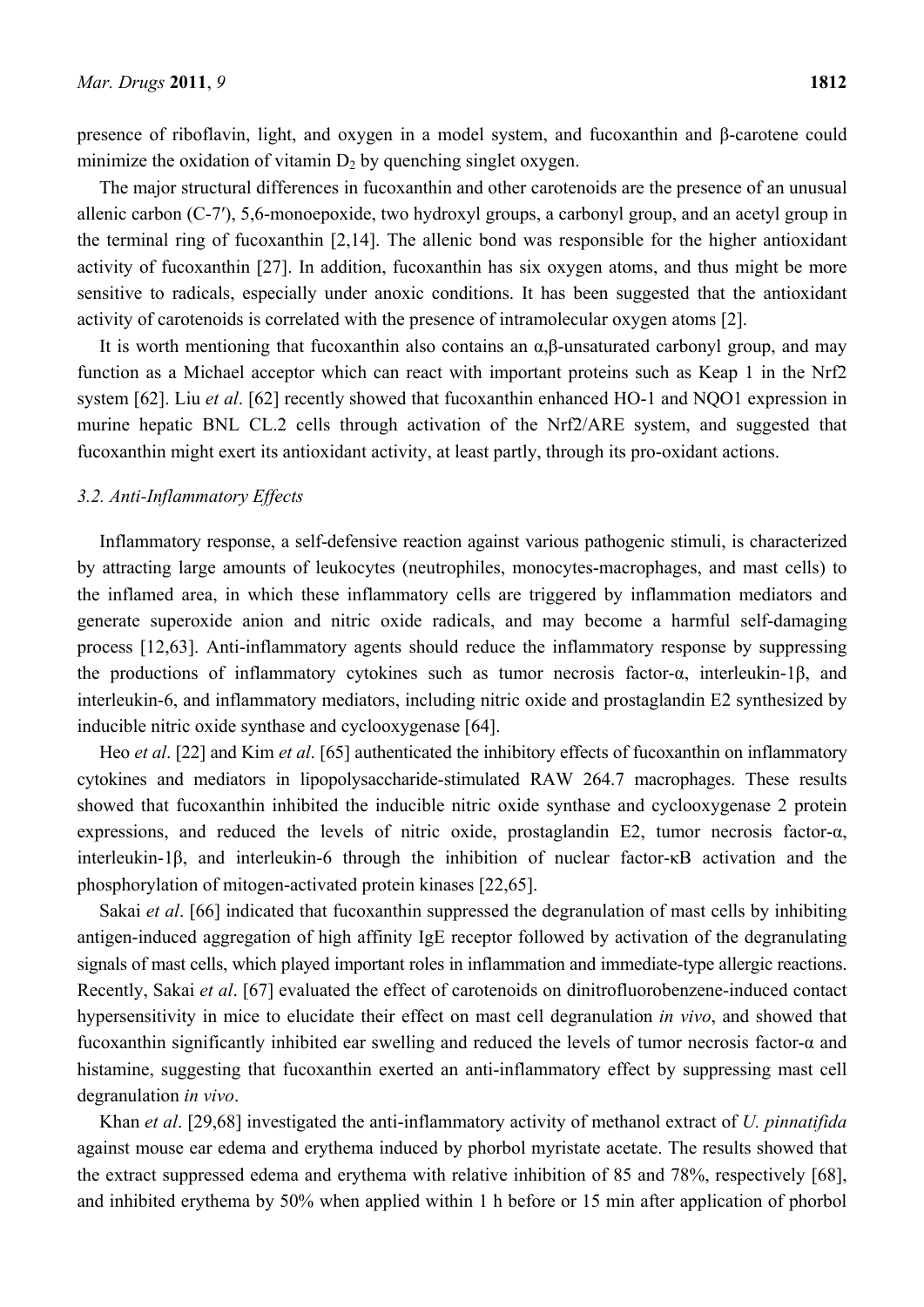presence of riboflavin, light, and oxygen in a model system, and fucoxanthin and β-carotene could minimize the oxidation of vitamin  $D_2$  by quenching singlet oxygen.

The major structural differences in fucoxanthin and other carotenoids are the presence of an unusual allenic carbon (C-7′), 5,6-monoepoxide, two hydroxyl groups, a carbonyl group, and an acetyl group in the terminal ring of fucoxanthin [2,14]. The allenic bond was responsible for the higher antioxidant activity of fucoxanthin [27]. In addition, fucoxanthin has six oxygen atoms, and thus might be more sensitive to radicals, especially under anoxic conditions. It has been suggested that the antioxidant activity of carotenoids is correlated with the presence of intramolecular oxygen atoms [2].

It is worth mentioning that fucoxanthin also contains an  $\alpha$ ,  $\beta$ -unsaturated carbonyl group, and may function as a Michael acceptor which can react with important proteins such as Keap 1 in the Nrf2 system [62]. Liu *et al*. [62] recently showed that fucoxanthin enhanced HO-1 and NQO1 expression in murine hepatic BNL CL.2 cells through activation of the Nrf2/ARE system, and suggested that fucoxanthin might exert its antioxidant activity, at least partly, through its pro-oxidant actions.

### *3.2. Anti-Inflammatory Effects*

Inflammatory response, a self-defensive reaction against various pathogenic stimuli, is characterized by attracting large amounts of leukocytes (neutrophiles, monocytes-macrophages, and mast cells) to the inflamed area, in which these inflammatory cells are triggered by inflammation mediators and generate superoxide anion and nitric oxide radicals, and may become a harmful self-damaging process [12,63]. Anti-inflammatory agents should reduce the inflammatory response by suppressing the productions of inflammatory cytokines such as tumor necrosis factor-α, interleukin-1β, and interleukin-6, and inflammatory mediators, including nitric oxide and prostaglandin E2 synthesized by inducible nitric oxide synthase and cyclooxygenase [64].

Heo *et al*. [22] and Kim *et al*. [65] authenticated the inhibitory effects of fucoxanthin on inflammatory cytokines and mediators in lipopolysaccharide-stimulated RAW 264.7 macrophages. These results showed that fucoxanthin inhibited the inducible nitric oxide synthase and cyclooxygenase 2 protein expressions, and reduced the levels of nitric oxide, prostaglandin E2, tumor necrosis factor-α, interleukin-1β, and interleukin-6 through the inhibition of nuclear factor-κB activation and the phosphorylation of mitogen-activated protein kinases [22,65].

Sakai *et al*. [66] indicated that fucoxanthin suppressed the degranulation of mast cells by inhibiting antigen-induced aggregation of high affinity IgE receptor followed by activation of the degranulating signals of mast cells, which played important roles in inflammation and immediate-type allergic reactions. Recently, Sakai *et al*. [67] evaluated the effect of carotenoids on dinitrofluorobenzene-induced contact hypersensitivity in mice to elucidate their effect on mast cell degranulation *in vivo*, and showed that fucoxanthin significantly inhibited ear swelling and reduced the levels of tumor necrosis factor-α and histamine, suggesting that fucoxanthin exerted an anti-inflammatory effect by suppressing mast cell degranulation *in vivo*.

Khan *et al*. [29,68] investigated the anti-inflammatory activity of methanol extract of *U. pinnatifida* against mouse ear edema and erythema induced by phorbol myristate acetate. The results showed that the extract suppressed edema and erythema with relative inhibition of 85 and 78%, respectively [68], and inhibited erythema by 50% when applied within 1 h before or 15 min after application of phorbol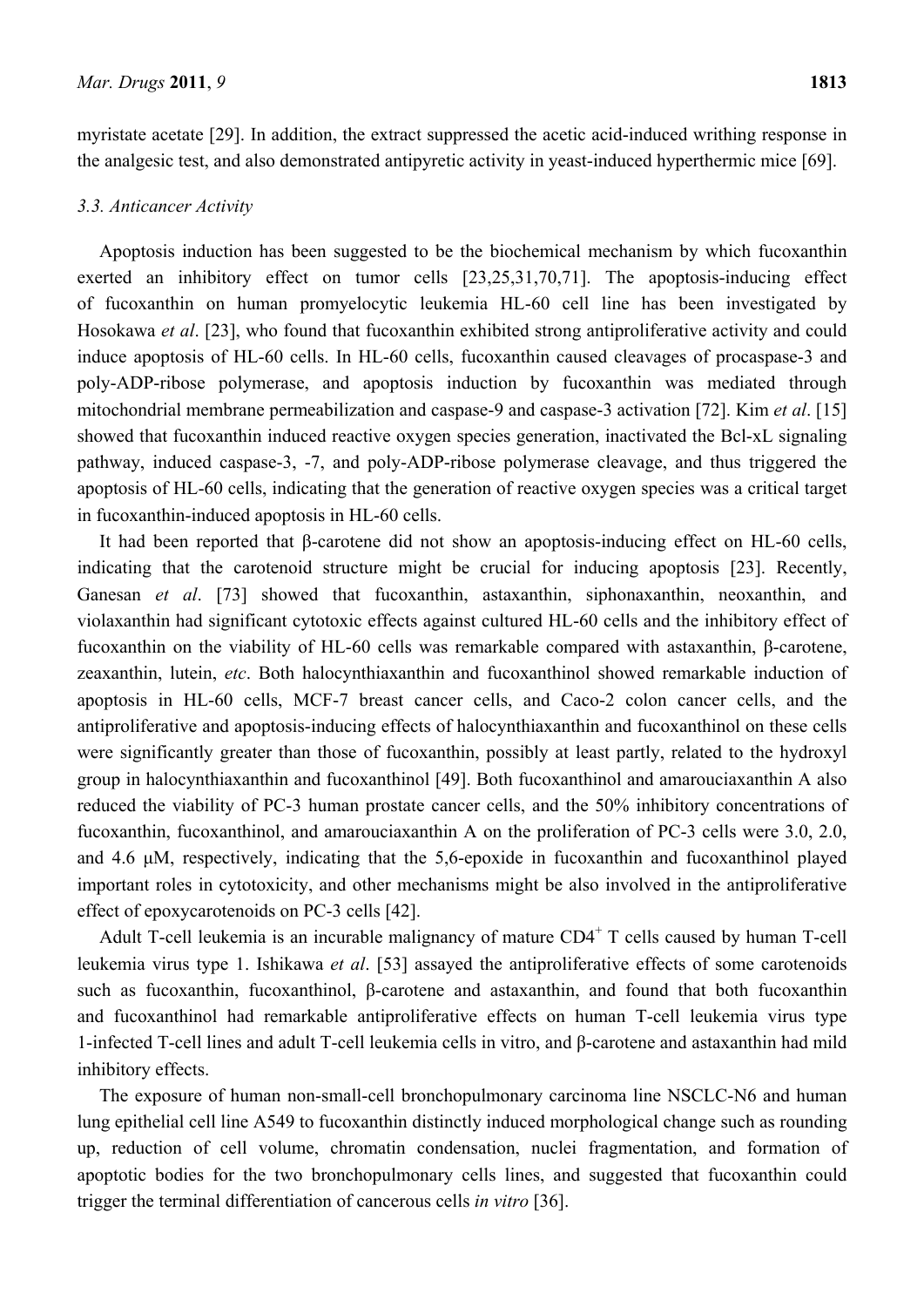myristate acetate [29]. In addition, the extract suppressed the acetic acid-induced writhing response in the analgesic test, and also demonstrated antipyretic activity in yeast-induced hyperthermic mice [69].

## *3.3. Anticancer Activity*

Apoptosis induction has been suggested to be the biochemical mechanism by which fucoxanthin exerted an inhibitory effect on tumor cells [23,25,31,70,71]. The apoptosis-inducing effect of fucoxanthin on human promyelocytic leukemia HL-60 cell line has been investigated by Hosokawa *et al*. [23], who found that fucoxanthin exhibited strong antiproliferative activity and could induce apoptosis of HL-60 cells. In HL-60 cells, fucoxanthin caused cleavages of procaspase-3 and poly-ADP-ribose polymerase, and apoptosis induction by fucoxanthin was mediated through mitochondrial membrane permeabilization and caspase-9 and caspase-3 activation [72]. Kim *et al*. [15] showed that fucoxanthin induced reactive oxygen species generation, inactivated the Bcl-xL signaling pathway, induced caspase-3, -7, and poly-ADP-ribose polymerase cleavage, and thus triggered the apoptosis of HL-60 cells, indicating that the generation of reactive oxygen species was a critical target in fucoxanthin-induced apoptosis in HL-60 cells.

It had been reported that β-carotene did not show an apoptosis-inducing effect on HL-60 cells, indicating that the carotenoid structure might be crucial for inducing apoptosis [23]. Recently, Ganesan *et al*. [73] showed that fucoxanthin, astaxanthin, siphonaxanthin, neoxanthin, and violaxanthin had significant cytotoxic effects against cultured HL-60 cells and the inhibitory effect of fucoxanthin on the viability of HL-60 cells was remarkable compared with astaxanthin, β-carotene, zeaxanthin, lutein, *etc*. Both halocynthiaxanthin and fucoxanthinol showed remarkable induction of apoptosis in HL-60 cells, MCF-7 breast cancer cells, and Caco-2 colon cancer cells, and the antiproliferative and apoptosis-inducing effects of halocynthiaxanthin and fucoxanthinol on these cells were significantly greater than those of fucoxanthin, possibly at least partly, related to the hydroxyl group in halocynthiaxanthin and fucoxanthinol [49]. Both fucoxanthinol and amarouciaxanthin A also reduced the viability of PC-3 human prostate cancer cells, and the 50% inhibitory concentrations of fucoxanthin, fucoxanthinol, and amarouciaxanthin A on the proliferation of PC-3 cells were 3.0, 2.0, and 4.6 μM, respectively, indicating that the 5,6-epoxide in fucoxanthin and fucoxanthinol played important roles in cytotoxicity, and other mechanisms might be also involved in the antiproliferative effect of epoxycarotenoids on PC-3 cells [42].

Adult T-cell leukemia is an incurable malignancy of mature CD4<sup>+</sup> T cells caused by human T-cell leukemia virus type 1. Ishikawa *et al*. [53] assayed the antiproliferative effects of some carotenoids such as fucoxanthin, fucoxanthinol, β-carotene and astaxanthin, and found that both fucoxanthin and fucoxanthinol had remarkable antiproliferative effects on human T-cell leukemia virus type 1-infected T-cell lines and adult T-cell leukemia cells in vitro, and β-carotene and astaxanthin had mild inhibitory effects.

The exposure of human non-small-cell bronchopulmonary carcinoma line NSCLC-N6 and human lung epithelial cell line A549 to fucoxanthin distinctly induced morphological change such as rounding up, reduction of cell volume, chromatin condensation, nuclei fragmentation, and formation of apoptotic bodies for the two bronchopulmonary cells lines, and suggested that fucoxanthin could trigger the terminal differentiation of cancerous cells *in vitro* [36].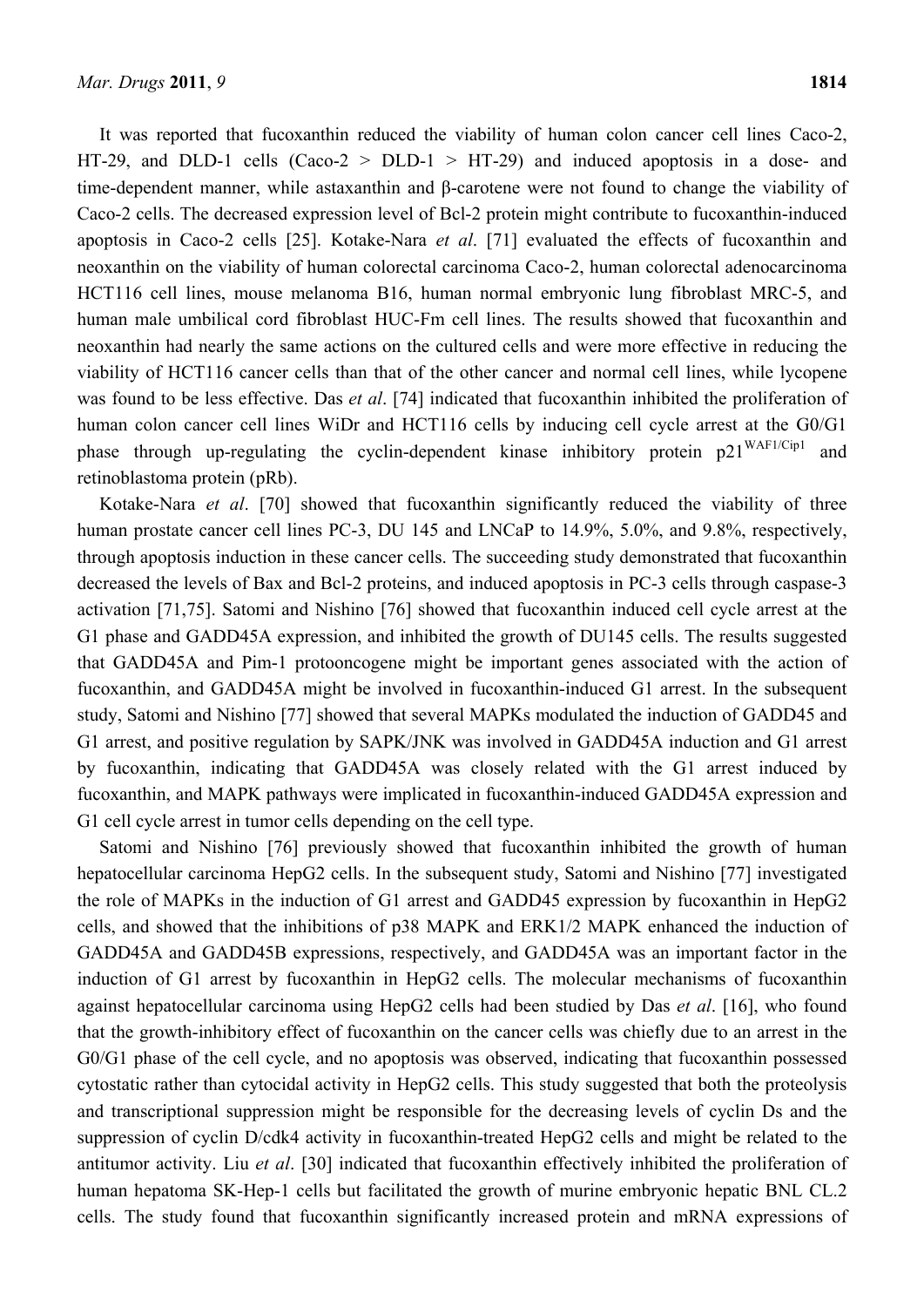It was reported that fucoxanthin reduced the viability of human colon cancer cell lines Caco-2, HT-29, and DLD-1 cells  $(Caco-2 > DLD-1 > HT-29)$  and induced apoptosis in a dose- and time-dependent manner, while astaxanthin and β-carotene were not found to change the viability of Caco-2 cells. The decreased expression level of Bcl-2 protein might contribute to fucoxanthin-induced apoptosis in Caco-2 cells [25]. Kotake-Nara *et al*. [71] evaluated the effects of fucoxanthin and neoxanthin on the viability of human colorectal carcinoma Caco-2, human colorectal adenocarcinoma HCT116 cell lines, mouse melanoma B16, human normal embryonic lung fibroblast MRC-5, and human male umbilical cord fibroblast HUC-Fm cell lines. The results showed that fucoxanthin and neoxanthin had nearly the same actions on the cultured cells and were more effective in reducing the viability of HCT116 cancer cells than that of the other cancer and normal cell lines, while lycopene was found to be less effective. Das *et al*. [74] indicated that fucoxanthin inhibited the proliferation of human colon cancer cell lines WiDr and HCT116 cells by inducing cell cycle arrest at the G0/G1 phase through up-regulating the cyclin-dependent kinase inhibitory protein p21<sup>WAF1/Cip1</sup> and retinoblastoma protein (pRb).

Kotake-Nara *et al*. [70] showed that fucoxanthin significantly reduced the viability of three human prostate cancer cell lines PC-3, DU 145 and LNCaP to 14.9%, 5.0%, and 9.8%, respectively, through apoptosis induction in these cancer cells. The succeeding study demonstrated that fucoxanthin decreased the levels of Bax and Bcl-2 proteins, and induced apoptosis in PC-3 cells through caspase-3 activation [71,75]. Satomi and Nishino [76] showed that fucoxanthin induced cell cycle arrest at the G1 phase and GADD45A expression, and inhibited the growth of DU145 cells. The results suggested that GADD45A and Pim-1 protooncogene might be important genes associated with the action of fucoxanthin, and GADD45A might be involved in fucoxanthin-induced G1 arrest. In the subsequent study, Satomi and Nishino [77] showed that several MAPKs modulated the induction of GADD45 and G1 arrest, and positive regulation by SAPK/JNK was involved in GADD45A induction and G1 arrest by fucoxanthin, indicating that GADD45A was closely related with the G1 arrest induced by fucoxanthin, and MAPK pathways were implicated in fucoxanthin-induced GADD45A expression and G1 cell cycle arrest in tumor cells depending on the cell type.

Satomi and Nishino [76] previously showed that fucoxanthin inhibited the growth of human hepatocellular carcinoma HepG2 cells. In the subsequent study, Satomi and Nishino [77] investigated the role of MAPKs in the induction of G1 arrest and GADD45 expression by fucoxanthin in HepG2 cells, and showed that the inhibitions of p38 MAPK and ERK1/2 MAPK enhanced the induction of GADD45A and GADD45B expressions, respectively, and GADD45A was an important factor in the induction of G1 arrest by fucoxanthin in HepG2 cells. The molecular mechanisms of fucoxanthin against hepatocellular carcinoma using HepG2 cells had been studied by Das *et al*. [16], who found that the growth-inhibitory effect of fucoxanthin on the cancer cells was chiefly due to an arrest in the G0/G1 phase of the cell cycle, and no apoptosis was observed, indicating that fucoxanthin possessed cytostatic rather than cytocidal activity in HepG2 cells. This study suggested that both the proteolysis and transcriptional suppression might be responsible for the decreasing levels of cyclin Ds and the suppression of cyclin D/cdk4 activity in fucoxanthin-treated HepG2 cells and might be related to the antitumor activity. Liu *et al*. [30] indicated that fucoxanthin effectively inhibited the proliferation of human hepatoma SK-Hep-1 cells but facilitated the growth of murine embryonic hepatic BNL CL.2 cells. The study found that fucoxanthin significantly increased protein and mRNA expressions of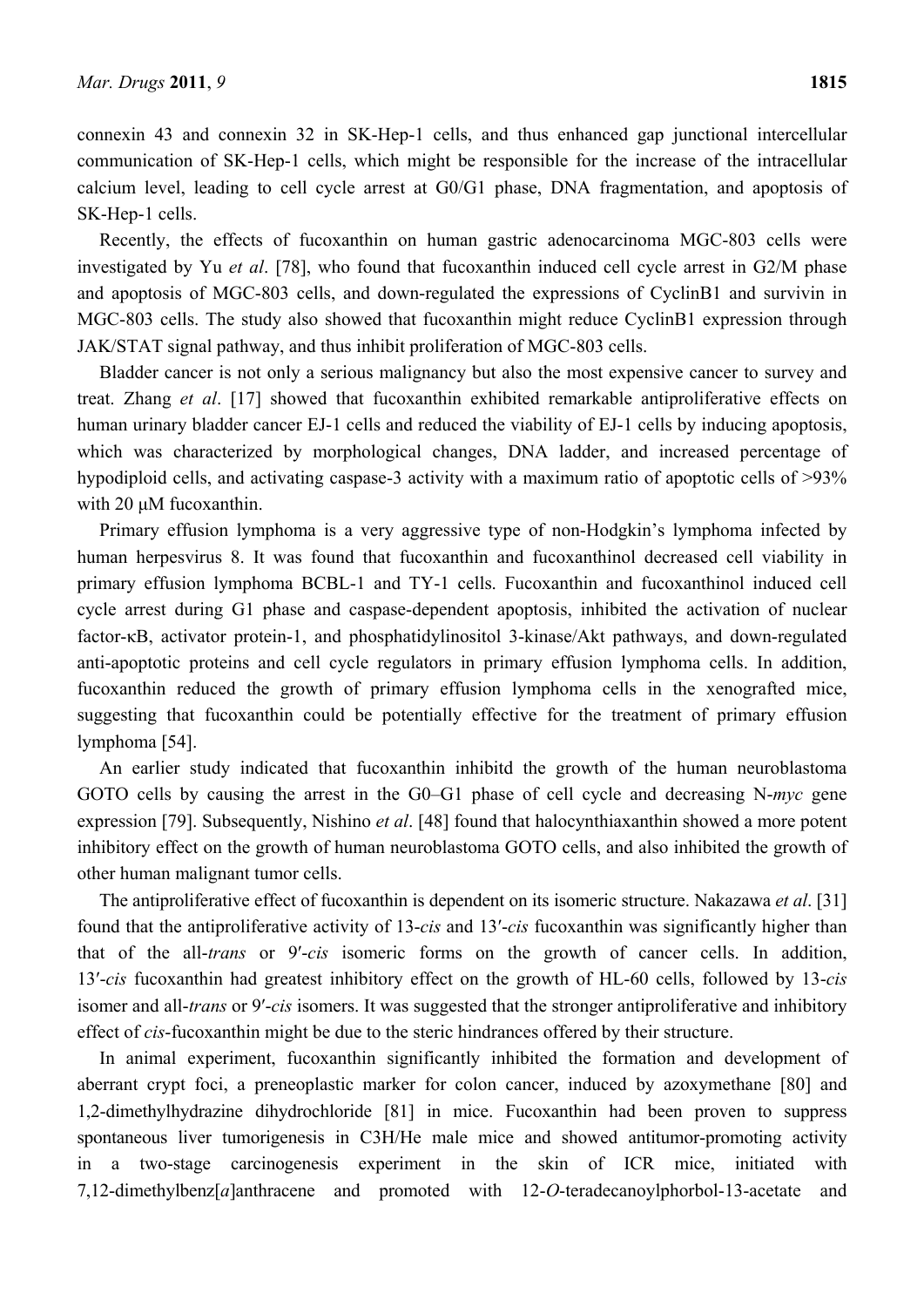connexin 43 and connexin 32 in SK-Hep-1 cells, and thus enhanced gap junctional intercellular communication of SK-Hep-1 cells, which might be responsible for the increase of the intracellular calcium level, leading to cell cycle arrest at G0/G1 phase, DNA fragmentation, and apoptosis of SK-Hep-1 cells.

Recently, the effects of fucoxanthin on human gastric adenocarcinoma MGC-803 cells were investigated by Yu *et al*. [78], who found that fucoxanthin induced cell cycle arrest in G2/M phase and apoptosis of MGC-803 cells, and down-regulated the expressions of CyclinB1 and survivin in MGC-803 cells. The study also showed that fucoxanthin might reduce CyclinB1 expression through JAK/STAT signal pathway, and thus inhibit proliferation of MGC-803 cells.

Bladder cancer is not only a serious malignancy but also the most expensive cancer to survey and treat. Zhang *et al*. [17] showed that fucoxanthin exhibited remarkable antiproliferative effects on human urinary bladder cancer EJ-1 cells and reduced the viability of EJ-1 cells by inducing apoptosis, which was characterized by morphological changes, DNA ladder, and increased percentage of hypodiploid cells, and activating caspase-3 activity with a maximum ratio of apoptotic cells of >93% with 20 μM fucoxanthin.

Primary effusion lymphoma is a very aggressive type of non-Hodgkin's lymphoma infected by human herpesvirus 8. It was found that fucoxanthin and fucoxanthinol decreased cell viability in primary effusion lymphoma BCBL-1 and TY-1 cells. Fucoxanthin and fucoxanthinol induced cell cycle arrest during G1 phase and caspase-dependent apoptosis, inhibited the activation of nuclear factor-κB, activator protein-1, and phosphatidylinositol 3-kinase/Akt pathways, and down-regulated anti-apoptotic proteins and cell cycle regulators in primary effusion lymphoma cells. In addition, fucoxanthin reduced the growth of primary effusion lymphoma cells in the xenografted mice, suggesting that fucoxanthin could be potentially effective for the treatment of primary effusion lymphoma [54].

An earlier study indicated that fucoxanthin inhibitd the growth of the human neuroblastoma GOTO cells by causing the arrest in the G0–G1 phase of cell cycle and decreasing N-*myc* gene expression [79]. Subsequently, Nishino *et al*. [48] found that halocynthiaxanthin showed a more potent inhibitory effect on the growth of human neuroblastoma GOTO cells, and also inhibited the growth of other human malignant tumor cells.

The antiproliferative effect of fucoxanthin is dependent on its isomeric structure. Nakazawa *et al*. [31] found that the antiproliferative activity of 13-*cis* and 13′-*cis* fucoxanthin was significantly higher than that of the all-*trans* or 9′-*cis* isomeric forms on the growth of cancer cells. In addition, 13′-*cis* fucoxanthin had greatest inhibitory effect on the growth of HL-60 cells, followed by 13-*cis* isomer and all-*trans* or 9′-*cis* isomers. It was suggested that the stronger antiproliferative and inhibitory effect of *cis*-fucoxanthin might be due to the steric hindrances offered by their structure.

In animal experiment, fucoxanthin significantly inhibited the formation and development of aberrant crypt foci, a preneoplastic marker for colon cancer, induced by azoxymethane [80] and 1,2-dimethylhydrazine dihydrochloride [81] in mice. Fucoxanthin had been proven to suppress spontaneous liver tumorigenesis in C3H/He male mice and showed antitumor-promoting activity in a two-stage carcinogenesis experiment in the skin of ICR mice, initiated with 7,12-dimethylbenz[*a*]anthracene and promoted with 12-*O*-teradecanoylphorbol-13-acetate and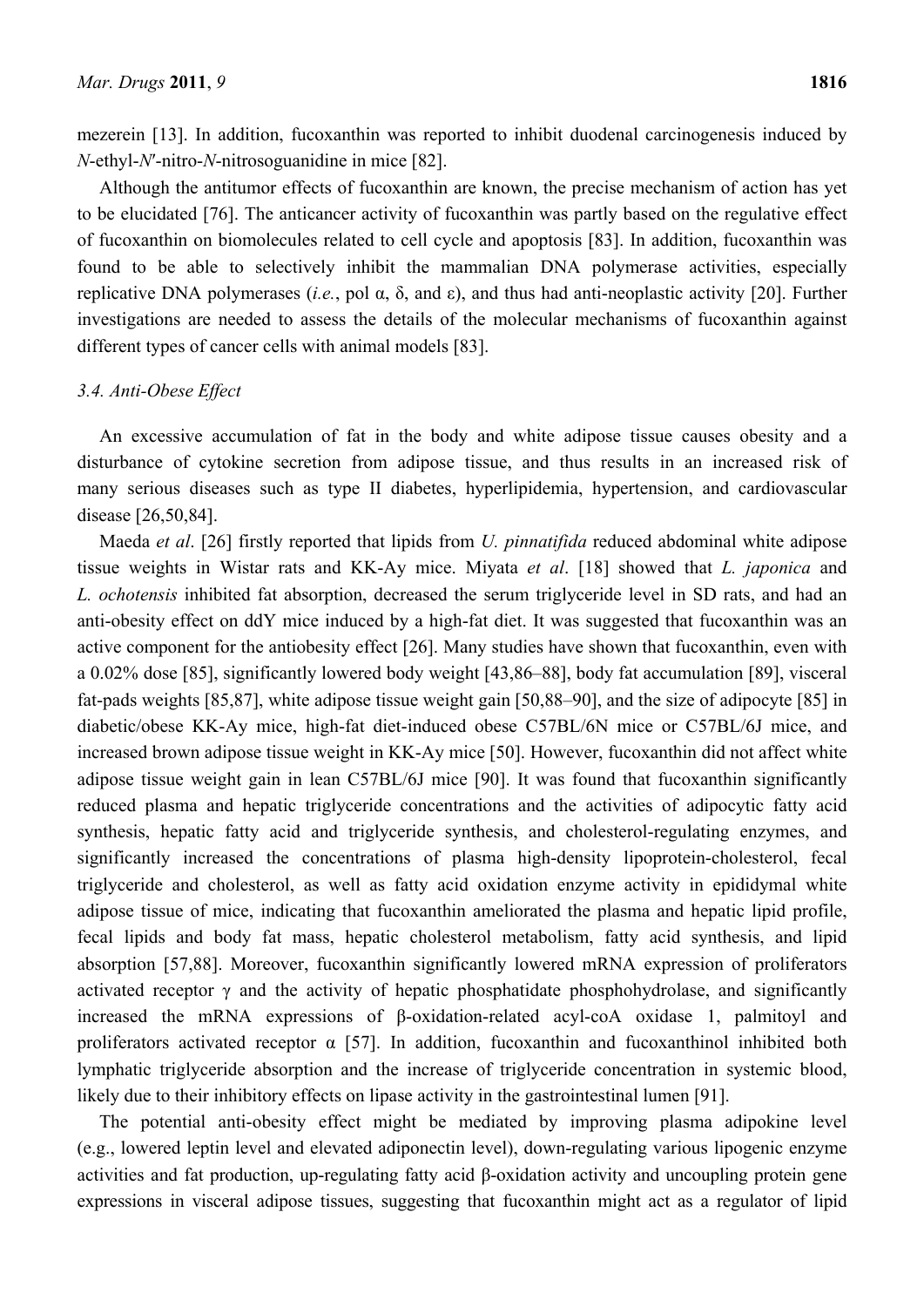mezerein [13]. In addition, fucoxanthin was reported to inhibit duodenal carcinogenesis induced by *N*-ethyl-*N*′-nitro-*N*-nitrosoguanidine in mice [82].

Although the antitumor effects of fucoxanthin are known, the precise mechanism of action has yet to be elucidated [76]. The anticancer activity of fucoxanthin was partly based on the regulative effect of fucoxanthin on biomolecules related to cell cycle and apoptosis [83]. In addition, fucoxanthin was found to be able to selectively inhibit the mammalian DNA polymerase activities, especially replicative DNA polymerases (*i.e.*, pol α, δ, and ε), and thus had anti-neoplastic activity [20]. Further investigations are needed to assess the details of the molecular mechanisms of fucoxanthin against different types of cancer cells with animal models [83].

## *3.4. Anti-Obese Effect*

An excessive accumulation of fat in the body and white adipose tissue causes obesity and a disturbance of cytokine secretion from adipose tissue, and thus results in an increased risk of many serious diseases such as type II diabetes, hyperlipidemia, hypertension, and cardiovascular disease [26,50,84].

Maeda *et al*. [26] firstly reported that lipids from *U. pinnatifida* reduced abdominal white adipose tissue weights in Wistar rats and KK-Ay mice. Miyata *et al*. [18] showed that *L. japonica* and *L. ochotensis* inhibited fat absorption, decreased the serum triglyceride level in SD rats, and had an anti-obesity effect on ddY mice induced by a high-fat diet. It was suggested that fucoxanthin was an active component for the antiobesity effect [26]. Many studies have shown that fucoxanthin, even with a 0.02% dose [85], significantly lowered body weight [43,86–88], body fat accumulation [89], visceral fat-pads weights [85,87], white adipose tissue weight gain [50,88–90], and the size of adipocyte [85] in diabetic/obese KK-Ay mice, high-fat diet-induced obese C57BL/6N mice or C57BL/6J mice, and increased brown adipose tissue weight in KK-Ay mice [50]. However, fucoxanthin did not affect white adipose tissue weight gain in lean C57BL/6J mice [90]. It was found that fucoxanthin significantly reduced plasma and hepatic triglyceride concentrations and the activities of adipocytic fatty acid synthesis, hepatic fatty acid and triglyceride synthesis, and cholesterol-regulating enzymes, and significantly increased the concentrations of plasma high-density lipoprotein-cholesterol, fecal triglyceride and cholesterol, as well as fatty acid oxidation enzyme activity in epididymal white adipose tissue of mice, indicating that fucoxanthin ameliorated the plasma and hepatic lipid profile, fecal lipids and body fat mass, hepatic cholesterol metabolism, fatty acid synthesis, and lipid absorption [57,88]. Moreover, fucoxanthin significantly lowered mRNA expression of proliferators activated receptor  $\gamma$  and the activity of hepatic phosphatidate phosphohydrolase, and significantly increased the mRNA expressions of β-oxidation-related acyl-coA oxidase 1, palmitoyl and proliferators activated receptor  $\alpha$  [57]. In addition, fucoxanthin and fucoxanthinol inhibited both lymphatic triglyceride absorption and the increase of triglyceride concentration in systemic blood, likely due to their inhibitory effects on lipase activity in the gastrointestinal lumen [91].

The potential anti-obesity effect might be mediated by improving plasma adipokine level (e.g., lowered leptin level and elevated adiponectin level), down-regulating various lipogenic enzyme activities and fat production, up-regulating fatty acid β-oxidation activity and uncoupling protein gene expressions in visceral adipose tissues, suggesting that fucoxanthin might act as a regulator of lipid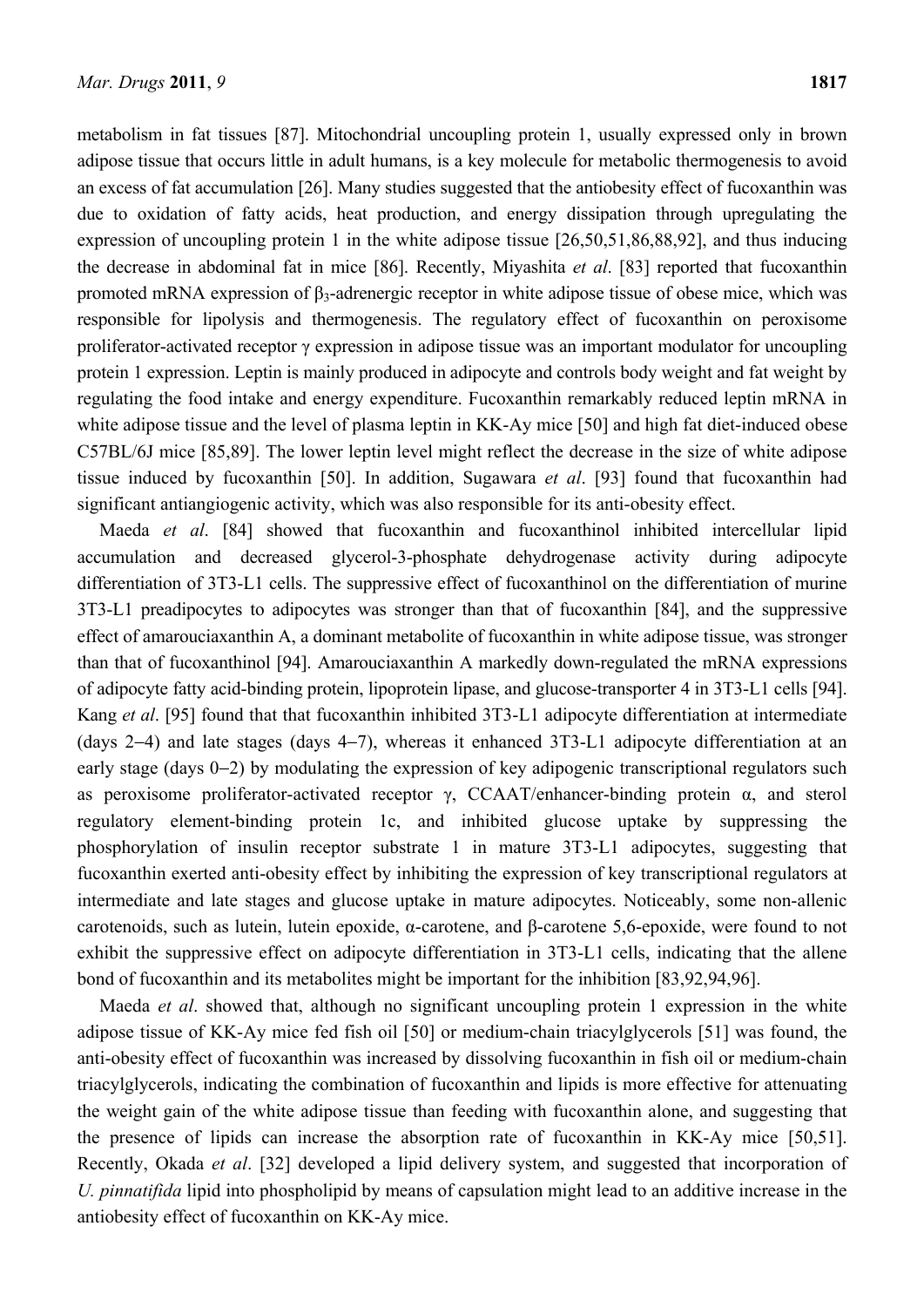metabolism in fat tissues [87]. Mitochondrial uncoupling protein 1, usually expressed only in brown adipose tissue that occurs little in adult humans, is a key molecule for metabolic thermogenesis to avoid an excess of fat accumulation [26]. Many studies suggested that the antiobesity effect of fucoxanthin was due to oxidation of fatty acids, heat production, and energy dissipation through upregulating the expression of uncoupling protein 1 in the white adipose tissue [26,50,51,86,88,92], and thus inducing the decrease in abdominal fat in mice [86]. Recently, Miyashita *et al*. [83] reported that fucoxanthin promoted mRNA expression of β<sub>3</sub>-adrenergic receptor in white adipose tissue of obese mice, which was responsible for lipolysis and thermogenesis. The regulatory effect of fucoxanthin on peroxisome proliferator-activated receptor γ expression in adipose tissue was an important modulator for uncoupling protein 1 expression. Leptin is mainly produced in adipocyte and controls body weight and fat weight by regulating the food intake and energy expenditure. Fucoxanthin remarkably reduced leptin mRNA in white adipose tissue and the level of plasma leptin in KK-Ay mice [50] and high fat diet-induced obese C57BL/6J mice [85,89]. The lower leptin level might reflect the decrease in the size of white adipose tissue induced by fucoxanthin [50]. In addition, Sugawara *et al*. [93] found that fucoxanthin had significant antiangiogenic activity, which was also responsible for its anti-obesity effect.

Maeda *et al*. [84] showed that fucoxanthin and fucoxanthinol inhibited intercellular lipid accumulation and decreased glycerol-3-phosphate dehydrogenase activity during adipocyte differentiation of 3T3-L1 cells. The suppressive effect of fucoxanthinol on the differentiation of murine 3T3-L1 preadipocytes to adipocytes was stronger than that of fucoxanthin [84], and the suppressive effect of amarouciaxanthin A, a dominant metabolite of fucoxanthin in white adipose tissue, was stronger than that of fucoxanthinol [94]. Amarouciaxanthin A markedly down-regulated the mRNA expressions of adipocyte fatty acid-binding protein, lipoprotein lipase, and glucose-transporter 4 in 3T3-L1 cells [94]. Kang *et al*. [95] found that that fucoxanthin inhibited 3T3-L1 adipocyte differentiation at intermediate (days 2−4) and late stages (days 4−7), whereas it enhanced 3T3-L1 adipocyte differentiation at an early stage (days 0−2) by modulating the expression of key adipogenic transcriptional regulators such as peroxisome proliferator-activated receptor γ, CCAAT/enhancer-binding protein  $α$ , and sterol regulatory element-binding protein 1c, and inhibited glucose uptake by suppressing the phosphorylation of insulin receptor substrate 1 in mature 3T3-L1 adipocytes, suggesting that fucoxanthin exerted anti-obesity effect by inhibiting the expression of key transcriptional regulators at intermediate and late stages and glucose uptake in mature adipocytes. Noticeably, some non-allenic carotenoids, such as lutein, lutein epoxide, α-carotene, and β-carotene 5,6-epoxide, were found to not exhibit the suppressive effect on adipocyte differentiation in 3T3-L1 cells, indicating that the allene bond of fucoxanthin and its metabolites might be important for the inhibition [83,92,94,96].

Maeda *et al*. showed that, although no significant uncoupling protein 1 expression in the white adipose tissue of KK-Ay mice fed fish oil [50] or medium-chain triacylglycerols [51] was found, the anti-obesity effect of fucoxanthin was increased by dissolving fucoxanthin in fish oil or medium-chain triacylglycerols, indicating the combination of fucoxanthin and lipids is more effective for attenuating the weight gain of the white adipose tissue than feeding with fucoxanthin alone, and suggesting that the presence of lipids can increase the absorption rate of fucoxanthin in KK-Ay mice [50,51]. Recently, Okada *et al*. [32] developed a lipid delivery system, and suggested that incorporation of *U. pinnatifida* lipid into phospholipid by means of capsulation might lead to an additive increase in the antiobesity effect of fucoxanthin on KK-Ay mice.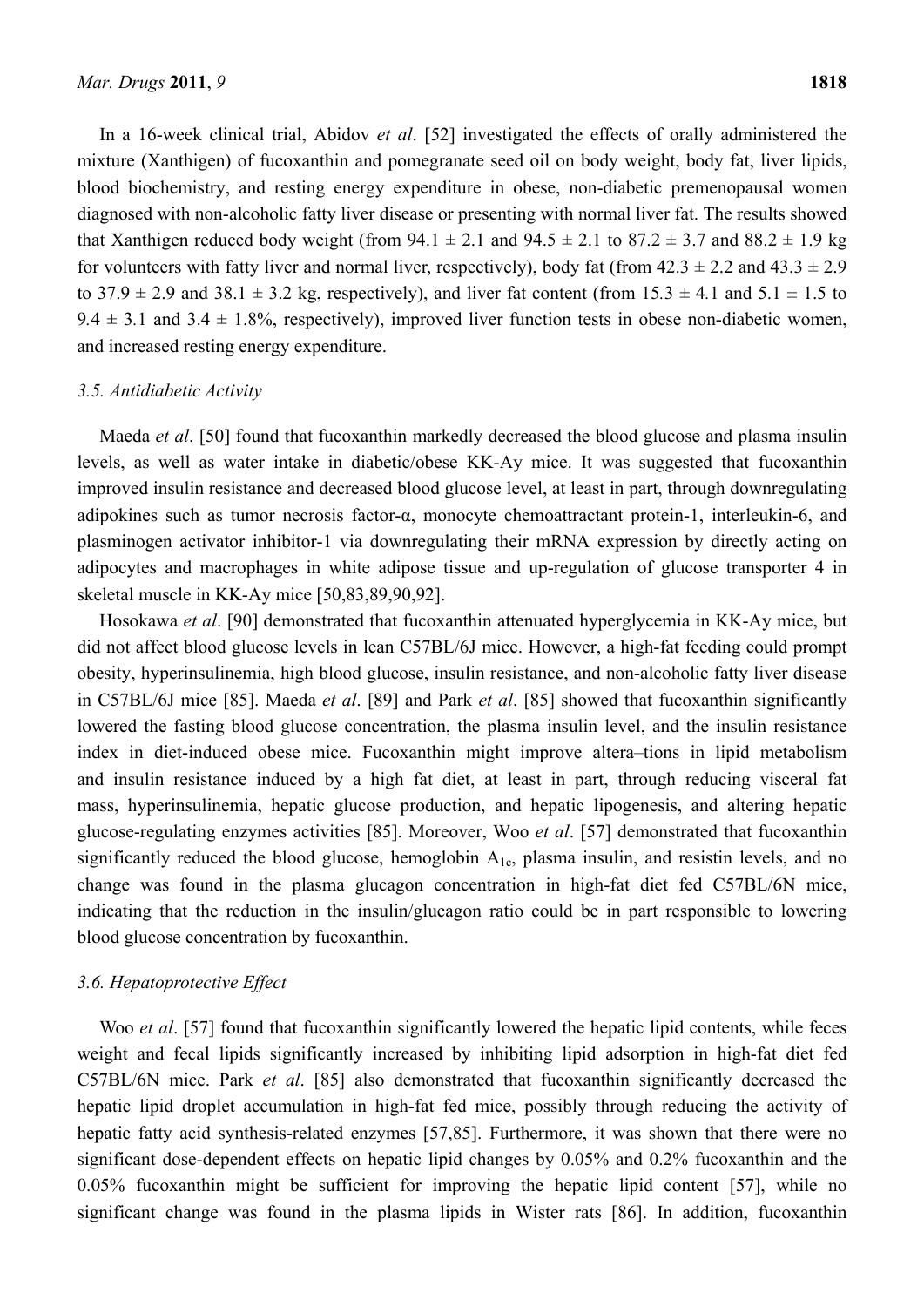In a 16-week clinical trial, Abidov *et al*. [52] investigated the effects of orally administered the mixture (Xanthigen) of fucoxanthin and pomegranate seed oil on body weight, body fat, liver lipids, blood biochemistry, and resting energy expenditure in obese, non-diabetic premenopausal women diagnosed with non-alcoholic fatty liver disease or presenting with normal liver fat. The results showed that Xanthigen reduced body weight (from  $94.1 \pm 2.1$  and  $94.5 \pm 2.1$  to  $87.2 \pm 3.7$  and  $88.2 \pm 1.9$  kg for volunteers with fatty liver and normal liver, respectively), body fat (from  $42.3 \pm 2.2$  and  $43.3 \pm 2.9$ ) to  $37.9 \pm 2.9$  and  $38.1 \pm 3.2$  kg, respectively), and liver fat content (from  $15.3 \pm 4.1$  and  $5.1 \pm 1.5$  to  $9.4 \pm 3.1$  and  $3.4 \pm 1.8\%$ , respectively), improved liver function tests in obese non-diabetic women, and increased resting energy expenditure.

#### *3.5. Antidiabetic Activity*

Maeda *et al*. [50] found that fucoxanthin markedly decreased the blood glucose and plasma insulin levels, as well as water intake in diabetic/obese KK-Ay mice. It was suggested that fucoxanthin improved insulin resistance and decreased blood glucose level, at least in part, through downregulating adipokines such as tumor necrosis factor-α, monocyte chemoattractant protein-1, interleukin-6, and plasminogen activator inhibitor-1 via downregulating their mRNA expression by directly acting on adipocytes and macrophages in white adipose tissue and up-regulation of glucose transporter 4 in skeletal muscle in KK-Ay mice [50,83,89,90,92].

Hosokawa *et al*. [90] demonstrated that fucoxanthin attenuated hyperglycemia in KK-Ay mice, but did not affect blood glucose levels in lean C57BL/6J mice. However, a high-fat feeding could prompt obesity, hyperinsulinemia, high blood glucose, insulin resistance, and non-alcoholic fatty liver disease in C57BL/6J mice [85]. Maeda *et al*. [89] and Park *et al*. [85] showed that fucoxanthin significantly lowered the fasting blood glucose concentration, the plasma insulin level, and the insulin resistance index in diet-induced obese mice. Fucoxanthin might improve altera–tions in lipid metabolism and insulin resistance induced by a high fat diet, at least in part, through reducing visceral fat mass, hyperinsulinemia, hepatic glucose production, and hepatic lipogenesis, and altering hepatic glucose-regulating enzymes activities [85]. Moreover, Woo *et al*. [57] demonstrated that fucoxanthin significantly reduced the blood glucose, hemoglobin  $A_{1c}$ , plasma insulin, and resistin levels, and no change was found in the plasma glucagon concentration in high-fat diet fed C57BL/6N mice, indicating that the reduction in the insulin/glucagon ratio could be in part responsible to lowering blood glucose concentration by fucoxanthin.

# *3.6. Hepatoprotective Effect*

Woo *et al.* [57] found that fucoxanthin significantly lowered the hepatic lipid contents, while feces weight and fecal lipids significantly increased by inhibiting lipid adsorption in high-fat diet fed C57BL/6N mice. Park *et al*. [85] also demonstrated that fucoxanthin significantly decreased the hepatic lipid droplet accumulation in high-fat fed mice, possibly through reducing the activity of hepatic fatty acid synthesis-related enzymes [57,85]. Furthermore, it was shown that there were no significant dose-dependent effects on hepatic lipid changes by 0.05% and 0.2% fucoxanthin and the 0.05% fucoxanthin might be sufficient for improving the hepatic lipid content [57], while no significant change was found in the plasma lipids in Wister rats [86]. In addition, fucoxanthin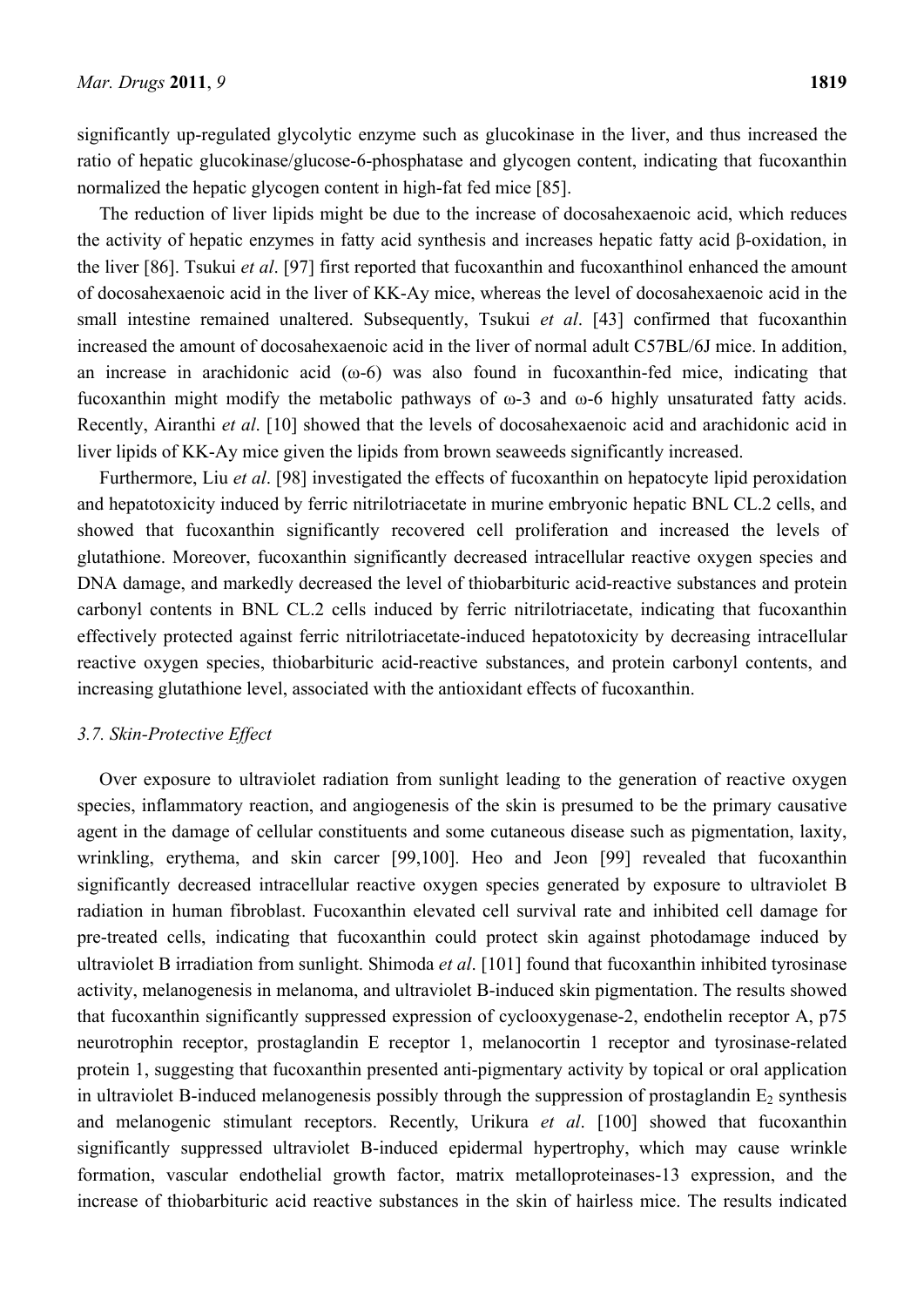significantly up-regulated glycolytic enzyme such as glucokinase in the liver, and thus increased the ratio of hepatic glucokinase/glucose-6-phosphatase and glycogen content, indicating that fucoxanthin normalized the hepatic glycogen content in high-fat fed mice [85].

The reduction of liver lipids might be due to the increase of docosahexaenoic acid, which reduces the activity of hepatic enzymes in fatty acid synthesis and increases hepatic fatty acid β-oxidation, in the liver [86]. Tsukui *et al*. [97] first reported that fucoxanthin and fucoxanthinol enhanced the amount of docosahexaenoic acid in the liver of KK-Ay mice, whereas the level of docosahexaenoic acid in the small intestine remained unaltered. Subsequently, Tsukui *et al*. [43] confirmed that fucoxanthin increased the amount of docosahexaenoic acid in the liver of normal adult C57BL/6J mice. In addition, an increase in arachidonic acid  $(ω-6)$  was also found in fucoxanthin-fed mice, indicating that fucoxanthin might modify the metabolic pathways of  $\omega$ -3 and  $\omega$ -6 highly unsaturated fatty acids. Recently, Airanthi *et al*. [10] showed that the levels of docosahexaenoic acid and arachidonic acid in liver lipids of KK-Ay mice given the lipids from brown seaweeds significantly increased.

Furthermore, Liu *et al*. [98] investigated the effects of fucoxanthin on hepatocyte lipid peroxidation and hepatotoxicity induced by ferric nitrilotriacetate in murine embryonic hepatic BNL CL.2 cells, and showed that fucoxanthin significantly recovered cell proliferation and increased the levels of glutathione. Moreover, fucoxanthin significantly decreased intracellular reactive oxygen species and DNA damage, and markedly decreased the level of thiobarbituric acid-reactive substances and protein carbonyl contents in BNL CL.2 cells induced by ferric nitrilotriacetate, indicating that fucoxanthin effectively protected against ferric nitrilotriacetate-induced hepatotoxicity by decreasing intracellular reactive oxygen species, thiobarbituric acid-reactive substances, and protein carbonyl contents, and increasing glutathione level, associated with the antioxidant effects of fucoxanthin.

#### *3.7. Skin-Protective Effect*

Over exposure to ultraviolet radiation from sunlight leading to the generation of reactive oxygen species, inflammatory reaction, and angiogenesis of the skin is presumed to be the primary causative agent in the damage of cellular constituents and some cutaneous disease such as pigmentation, laxity, wrinkling, erythema, and skin carcer [99,100]. Heo and Jeon [99] revealed that fucoxanthin significantly decreased intracellular reactive oxygen species generated by exposure to ultraviolet B radiation in human fibroblast. Fucoxanthin elevated cell survival rate and inhibited cell damage for pre-treated cells, indicating that fucoxanthin could protect skin against photodamage induced by ultraviolet B irradiation from sunlight. Shimoda *et al*. [101] found that fucoxanthin inhibited tyrosinase activity, melanogenesis in melanoma, and ultraviolet B-induced skin pigmentation. The results showed that fucoxanthin significantly suppressed expression of cyclooxygenase-2, endothelin receptor A, p75 neurotrophin receptor, prostaglandin E receptor 1, melanocortin 1 receptor and tyrosinase-related protein 1, suggesting that fucoxanthin presented anti-pigmentary activity by topical or oral application in ultraviolet B-induced melanogenesis possibly through the suppression of prostaglandin  $E_2$  synthesis and melanogenic stimulant receptors. Recently, Urikura *et al*. [100] showed that fucoxanthin significantly suppressed ultraviolet B-induced epidermal hypertrophy, which may cause wrinkle formation, vascular endothelial growth factor, matrix metalloproteinases-13 expression, and the increase of thiobarbituric acid reactive substances in the skin of hairless mice. The results indicated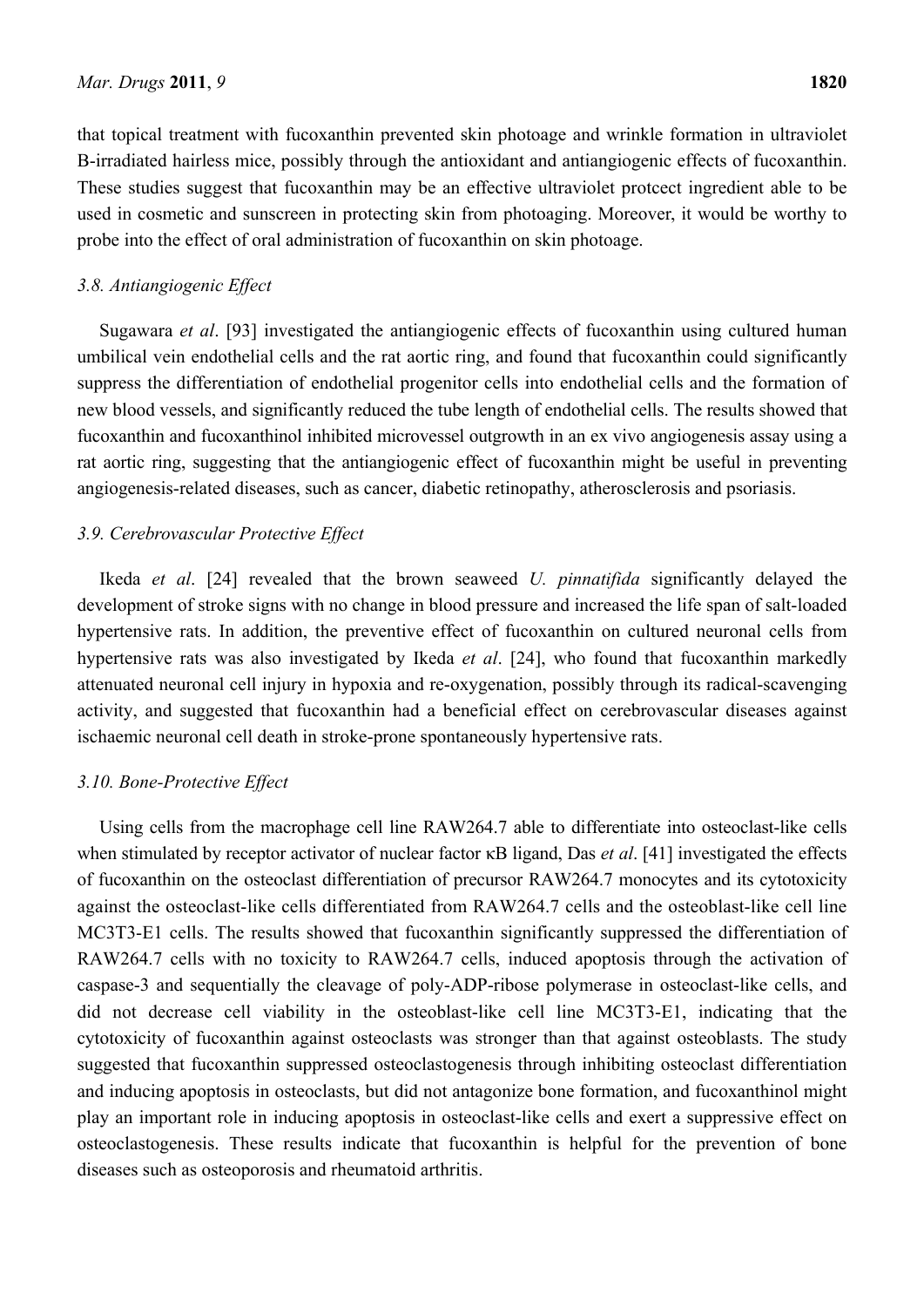that topical treatment with fucoxanthin prevented skin photoage and wrinkle formation in ultraviolet B-irradiated hairless mice, possibly through the antioxidant and antiangiogenic effects of fucoxanthin. These studies suggest that fucoxanthin may be an effective ultraviolet protcect ingredient able to be used in cosmetic and sunscreen in protecting skin from photoaging. Moreover, it would be worthy to probe into the effect of oral administration of fucoxanthin on skin photoage.

# *3.8. Antiangiogenic Effect*

Sugawara *et al*. [93] investigated the antiangiogenic effects of fucoxanthin using cultured human umbilical vein endothelial cells and the rat aortic ring, and found that fucoxanthin could significantly suppress the differentiation of endothelial progenitor cells into endothelial cells and the formation of new blood vessels, and significantly reduced the tube length of endothelial cells. The results showed that fucoxanthin and fucoxanthinol inhibited microvessel outgrowth in an ex vivo angiogenesis assay using a rat aortic ring, suggesting that the antiangiogenic effect of fucoxanthin might be useful in preventing angiogenesis-related diseases, such as cancer, diabetic retinopathy, atherosclerosis and psoriasis.

# *3.9. Cerebrovascular Protective Effect*

Ikeda *et al*. [24] revealed that the brown seaweed *U. pinnatifida* significantly delayed the development of stroke signs with no change in blood pressure and increased the life span of salt-loaded hypertensive rats. In addition, the preventive effect of fucoxanthin on cultured neuronal cells from hypertensive rats was also investigated by Ikeda *et al*. [24], who found that fucoxanthin markedly attenuated neuronal cell injury in hypoxia and re-oxygenation, possibly through its radical-scavenging activity, and suggested that fucoxanthin had a beneficial effect on cerebrovascular diseases against ischaemic neuronal cell death in stroke-prone spontaneously hypertensive rats.

# *3.10. Bone-Protective Effect*

Using cells from the macrophage cell line RAW264.7 able to differentiate into osteoclast-like cells when stimulated by receptor activator of nuclear factor κB ligand, Das *et al*. [41] investigated the effects of fucoxanthin on the osteoclast differentiation of precursor RAW264.7 monocytes and its cytotoxicity against the osteoclast-like cells differentiated from RAW264.7 cells and the osteoblast-like cell line MC3T3-E1 cells. The results showed that fucoxanthin significantly suppressed the differentiation of RAW264.7 cells with no toxicity to RAW264.7 cells, induced apoptosis through the activation of caspase-3 and sequentially the cleavage of poly-ADP-ribose polymerase in osteoclast-like cells, and did not decrease cell viability in the osteoblast-like cell line MC3T3-E1, indicating that the cytotoxicity of fucoxanthin against osteoclasts was stronger than that against osteoblasts. The study suggested that fucoxanthin suppressed osteoclastogenesis through inhibiting osteoclast differentiation and inducing apoptosis in osteoclasts, but did not antagonize bone formation, and fucoxanthinol might play an important role in inducing apoptosis in osteoclast-like cells and exert a suppressive effect on osteoclastogenesis. These results indicate that fucoxanthin is helpful for the prevention of bone diseases such as osteoporosis and rheumatoid arthritis.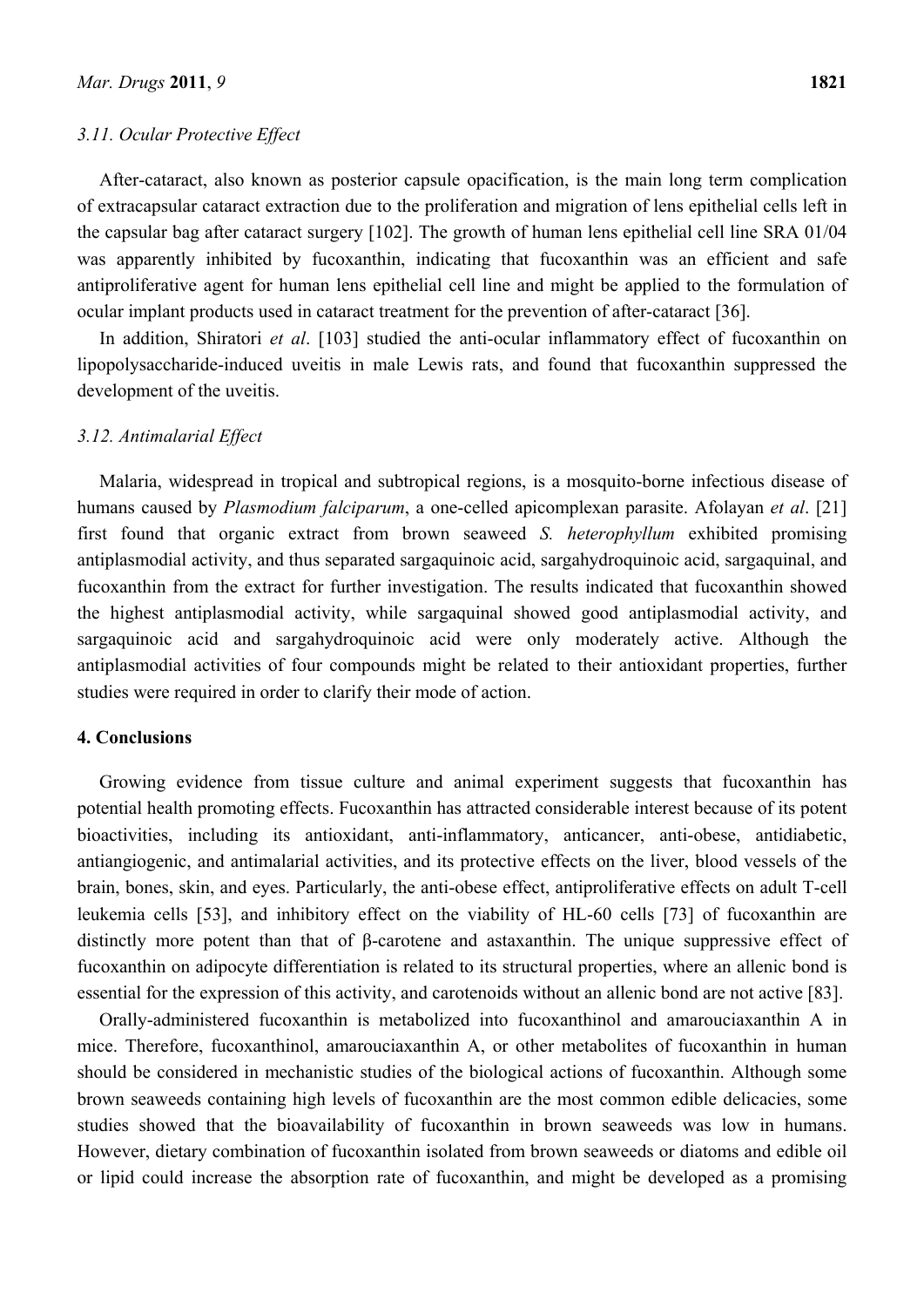## *3.11. Ocular Protective Effect*

After-cataract, also known as posterior capsule opacification, is the main long term complication of extracapsular cataract extraction due to the proliferation and migration of lens epithelial cells left in the capsular bag after cataract surgery [102]. The growth of human lens epithelial cell line SRA 01/04 was apparently inhibited by fucoxanthin, indicating that fucoxanthin was an efficient and safe antiproliferative agent for human lens epithelial cell line and might be applied to the formulation of ocular implant products used in cataract treatment for the prevention of after-cataract [36].

In addition, Shiratori *et al*. [103] studied the anti-ocular inflammatory effect of fucoxanthin on lipopolysaccharide-induced uveitis in male Lewis rats, and found that fucoxanthin suppressed the development of the uveitis.

## *3.12. Antimalarial Effect*

Malaria, widespread in tropical and subtropical regions, is a mosquito-borne infectious disease of humans caused by *Plasmodium falciparum*, a one-celled apicomplexan parasite. Afolayan *et al*. [21] first found that organic extract from brown seaweed *S. heterophyllum* exhibited promising antiplasmodial activity, and thus separated sargaquinoic acid, sargahydroquinoic acid, sargaquinal, and fucoxanthin from the extract for further investigation. The results indicated that fucoxanthin showed the highest antiplasmodial activity, while sargaquinal showed good antiplasmodial activity, and sargaquinoic acid and sargahydroquinoic acid were only moderately active. Although the antiplasmodial activities of four compounds might be related to their antioxidant properties, further studies were required in order to clarify their mode of action.

## **4. Conclusions**

Growing evidence from tissue culture and animal experiment suggests that fucoxanthin has potential health promoting effects. Fucoxanthin has attracted considerable interest because of its potent bioactivities, including its antioxidant, anti-inflammatory, anticancer, anti-obese, antidiabetic, antiangiogenic, and antimalarial activities, and its protective effects on the liver, blood vessels of the brain, bones, skin, and eyes. Particularly, the anti-obese effect, antiproliferative effects on adult T-cell leukemia cells [53], and inhibitory effect on the viability of HL-60 cells [73] of fucoxanthin are distinctly more potent than that of β-carotene and astaxanthin. The unique suppressive effect of fucoxanthin on adipocyte differentiation is related to its structural properties, where an allenic bond is essential for the expression of this activity, and carotenoids without an allenic bond are not active [83].

Orally-administered fucoxanthin is metabolized into fucoxanthinol and amarouciaxanthin A in mice. Therefore, fucoxanthinol, amarouciaxanthin A, or other metabolites of fucoxanthin in human should be considered in mechanistic studies of the biological actions of fucoxanthin. Although some brown seaweeds containing high levels of fucoxanthin are the most common edible delicacies, some studies showed that the bioavailability of fucoxanthin in brown seaweeds was low in humans. However, dietary combination of fucoxanthin isolated from brown seaweeds or diatoms and edible oil or lipid could increase the absorption rate of fucoxanthin, and might be developed as a promising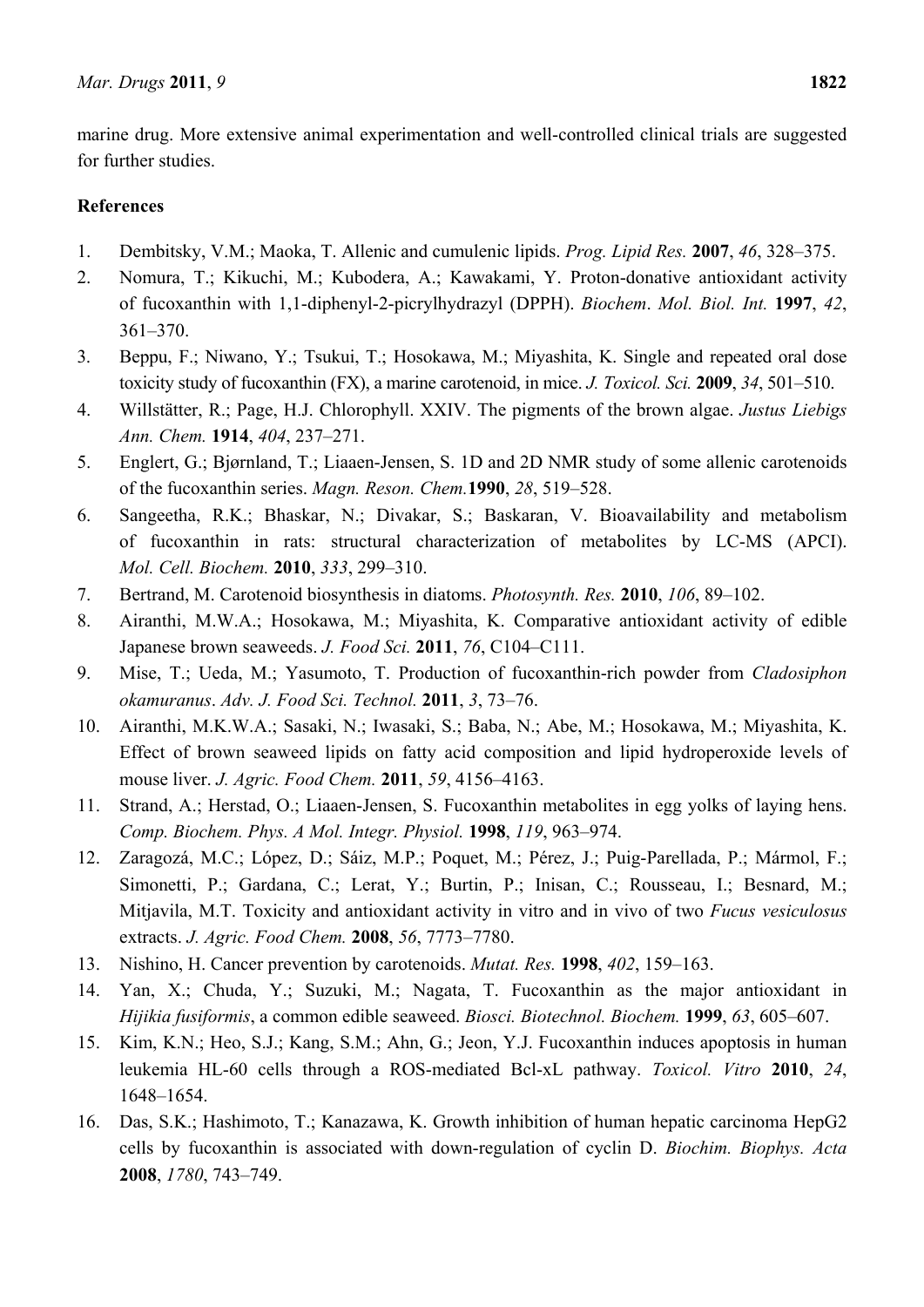marine drug. More extensive animal experimentation and well-controlled clinical trials are suggested for further studies.

# **References**

- 1. Dembitsky, V.M.; Maoka, T. Allenic and cumulenic lipids. *Prog. Lipid Res.* **2007**, *46*, 328–375.
- 2. Nomura, T.; Kikuchi, M.; Kubodera, A.; Kawakami, Y. Proton-donative antioxidant activity of fucoxanthin with 1,1-diphenyl-2-picrylhydrazyl (DPPH). *Biochem*. *Mol. Biol. Int.* **1997**, *42*, 361–370.
- 3. Beppu, F.; Niwano, Y.; Tsukui, T.; Hosokawa, M.; Miyashita, K. Single and repeated oral dose toxicity study of fucoxanthin (FX), a marine carotenoid, in mice. *J. Toxicol. Sci.* **2009**, *34*, 501–510.
- 4. Willstätter, R.; Page, H.J. Chlorophyll. XXIV. The pigments of the brown algae. *Justus Liebigs Ann. Chem.* **1914**, *404*, 237–271.
- 5. Englert, G.; Bjørnland, T.; Liaaen-Jensen, S. 1D and 2D NMR study of some allenic carotenoids of the fucoxanthin series. *Magn. Reson. Chem.***1990**, *28*, 519–528.
- 6. Sangeetha, R.K.; Bhaskar, N.; Divakar, S.; Baskaran, V. Bioavailability and metabolism of fucoxanthin in rats: structural characterization of metabolites by LC-MS (APCI). *Mol. Cell. Biochem.* **2010**, *333*, 299–310.
- 7. Bertrand, M. Carotenoid biosynthesis in diatoms. *Photosynth. Res.* **2010**, *106*, 89–102.
- 8. Airanthi, M.W.A.; Hosokawa, M.; Miyashita, K. Comparative antioxidant activity of edible Japanese brown seaweeds. *J. Food Sci.* **2011**, *76*, C104–C111.
- 9. Mise, T.; Ueda, M.; Yasumoto, T. Production of fucoxanthin-rich powder from *Cladosiphon okamuranus*. *Adv. J. Food Sci. Technol.* **2011**, *3*, 73–76.
- 10. Airanthi, M.K.W.A.; Sasaki, N.; Iwasaki, S.; Baba, N.; Abe, M.; Hosokawa, M.; Miyashita, K. Effect of brown seaweed lipids on fatty acid composition and lipid hydroperoxide levels of mouse liver. *J. Agric. Food Chem.* **2011**, *59*, 4156–4163.
- 11. Strand, A.; Herstad, O.; Liaaen-Jensen, S. Fucoxanthin metabolites in egg yolks of laying hens. *Comp. Biochem. Phys. A Mol. Integr. Physiol.* **1998**, *119*, 963–974.
- 12. Zaragozá, M.C.; López, D.; Sáiz, M.P.; Poquet, M.; Pérez, J.; Puig-Parellada, P.; Mármol, F.; Simonetti, P.; Gardana, C.; Lerat, Y.; Burtin, P.; Inisan, C.; Rousseau, I.; Besnard, M.; Mitjavila, M.T. Toxicity and antioxidant activity in vitro and in vivo of two *Fucus vesiculosus* extracts. *J. Agric. Food Chem.* **2008**, *56*, 7773–7780.
- 13. Nishino, H. Cancer prevention by carotenoids. *Mutat. Res.* **1998**, *402*, 159–163.
- 14. Yan, X.; Chuda, Y.; Suzuki, M.; Nagata, T. Fucoxanthin as the major antioxidant in *Hijikia fusiformis*, a common edible seaweed. *Biosci. Biotechnol. Biochem.* **1999**, *63*, 605–607.
- 15. Kim, K.N.; Heo, S.J.; Kang, S.M.; Ahn, G.; Jeon, Y.J. Fucoxanthin induces apoptosis in human leukemia HL-60 cells through a ROS-mediated Bcl-xL pathway. *Toxicol. Vitro* **2010**, *24*, 1648–1654.
- 16. Das, S.K.; Hashimoto, T.; Kanazawa, K. Growth inhibition of human hepatic carcinoma HepG2 cells by fucoxanthin is associated with down-regulation of cyclin D. *Biochim. Biophys. Acta* **2008**, *1780*, 743–749.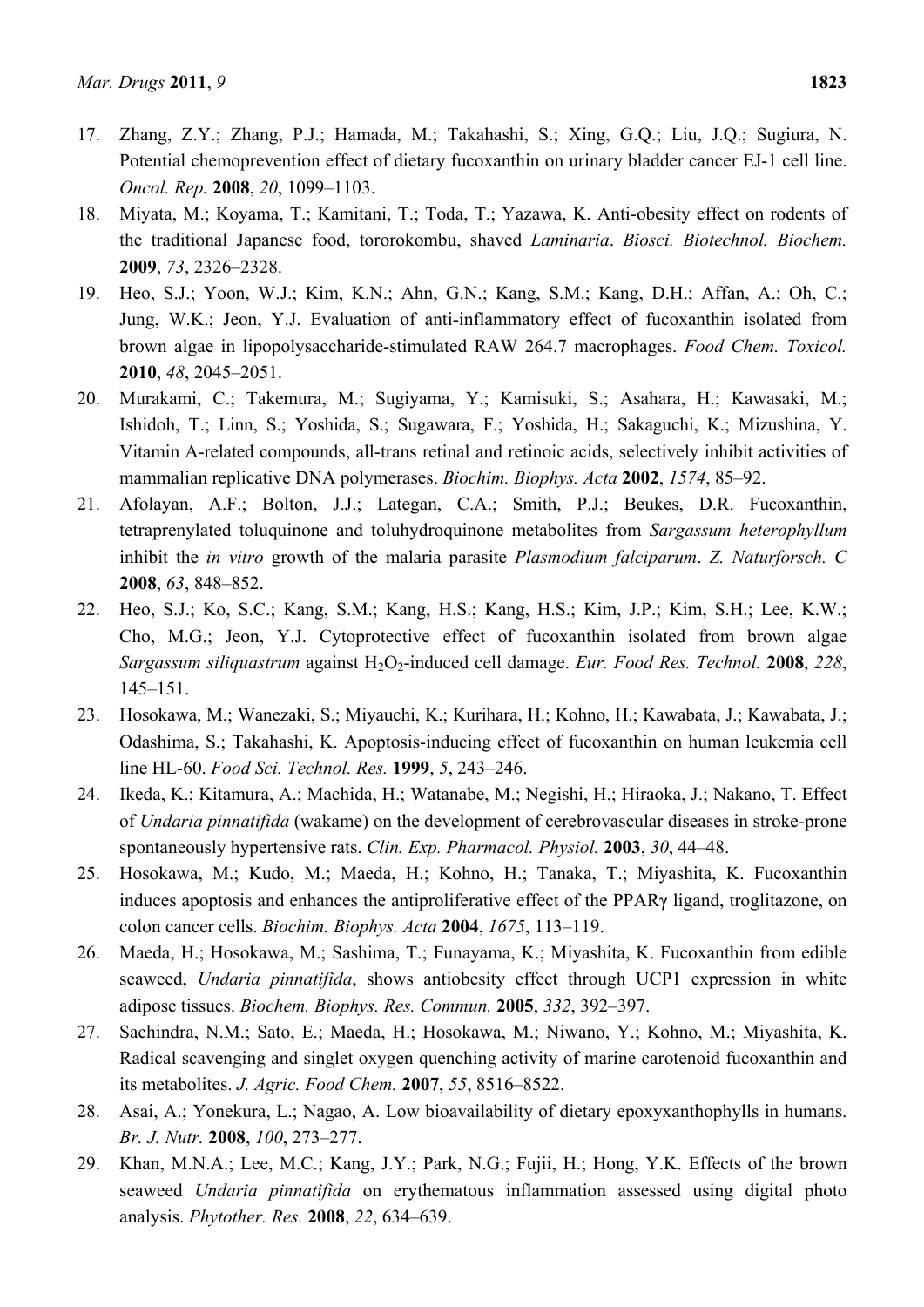- 17. Zhang, Z.Y.; Zhang, P.J.; Hamada, M.; Takahashi, S.; Xing, G.Q.; Liu, J.Q.; Sugiura, N. Potential chemoprevention effect of dietary fucoxanthin on urinary bladder cancer EJ-1 cell line. *Oncol. Rep.* **2008**, *20*, 1099–1103.
- 18. Miyata, M.; Koyama, T.; Kamitani, T.; Toda, T.; Yazawa, K. Anti-obesity effect on rodents of the traditional Japanese food, tororokombu, shaved *Laminaria*. *Biosci. Biotechnol. Biochem.* **2009**, *73*, 2326–2328.
- 19. Heo, S.J.; Yoon, W.J.; Kim, K.N.; Ahn, G.N.; Kang, S.M.; Kang, D.H.; Affan, A.; Oh, C.; Jung, W.K.; Jeon, Y.J. Evaluation of anti-inflammatory effect of fucoxanthin isolated from brown algae in lipopolysaccharide-stimulated RAW 264.7 macrophages. *Food Chem. Toxicol.*  **2010**, *48*, 2045–2051.
- 20. Murakami, C.; Takemura, M.; Sugiyama, Y.; Kamisuki, S.; Asahara, H.; Kawasaki, M.; Ishidoh, T.; Linn, S.; Yoshida, S.; Sugawara, F.; Yoshida, H.; Sakaguchi, K.; Mizushina, Y. Vitamin A-related compounds, all-trans retinal and retinoic acids, selectively inhibit activities of mammalian replicative DNA polymerases. *Biochim. Biophys. Acta* **2002**, *1574*, 85–92.
- 21. Afolayan, A.F.; Bolton, J.J.; Lategan, C.A.; Smith, P.J.; Beukes, D.R. Fucoxanthin, tetraprenylated toluquinone and toluhydroquinone metabolites from *Sargassum heterophyllum* inhibit the *in vitro* growth of the malaria parasite *Plasmodium falciparum*. *Z. Naturforsch. C* **2008**, *63*, 848–852.
- 22. Heo, S.J.; Ko, S.C.; Kang, S.M.; Kang, H.S.; Kang, H.S.; Kim, J.P.; Kim, S.H.; Lee, K.W.; Cho, M.G.; Jeon, Y.J. Cytoprotective effect of fucoxanthin isolated from brown algae *Sargassum siliquastrum* against H2O2-induced cell damage. *Eur. Food Res. Technol.* **2008**, *228*, 145–151.
- 23. Hosokawa, M.; Wanezaki, S.; Miyauchi, K.; Kurihara, H.; Kohno, H.; Kawabata, J.; Kawabata, J.; Odashima, S.; Takahashi, K. Apoptosis-inducing effect of fucoxanthin on human leukemia cell line HL-60. *Food Sci. Technol. Res.* **1999**, *5*, 243–246.
- 24. Ikeda, K.; Kitamura, A.; Machida, H.; Watanabe, M.; Negishi, H.; Hiraoka, J.; Nakano, T. Effect of *Undaria pinnatifida* (wakame) on the development of cerebrovascular diseases in stroke-prone spontaneously hypertensive rats. *Clin. Exp. Pharmacol. Physiol.* **2003**, *30*, 44–48.
- 25. Hosokawa, M.; Kudo, M.; Maeda, H.; Kohno, H.; Tanaka, T.; Miyashita, K. Fucoxanthin induces apoptosis and enhances the antiproliferative effect of the PPARγ ligand, troglitazone, on colon cancer cells. *Biochim. Biophys. Acta* **2004**, *1675*, 113–119.
- 26. Maeda, H.; Hosokawa, M.; Sashima, T.; Funayama, K.; Miyashita, K. Fucoxanthin from edible seaweed, *Undaria pinnatifida*, shows antiobesity effect through UCP1 expression in white adipose tissues. *Biochem. Biophys. Res. Commun.* **2005**, *332*, 392–397.
- 27. Sachindra, N.M.; Sato, E.; Maeda, H.; Hosokawa, M.; Niwano, Y.; Kohno, M.; Miyashita, K. Radical scavenging and singlet oxygen quenching activity of marine carotenoid fucoxanthin and its metabolites. *J. Agric. Food Chem.* **2007**, *55*, 8516–8522.
- 28. Asai, A.; Yonekura, L.; Nagao, A. Low bioavailability of dietary epoxyxanthophylls in humans. *Br. J. Nutr.* **2008**, *100*, 273–277.
- 29. Khan, M.N.A.; Lee, M.C.; Kang, J.Y.; Park, N.G.; Fujii, H.; Hong, Y.K. Effects of the brown seaweed *Undaria pinnatifida* on erythematous inflammation assessed using digital photo analysis. *Phytother. Res.* **2008**, *22*, 634–639.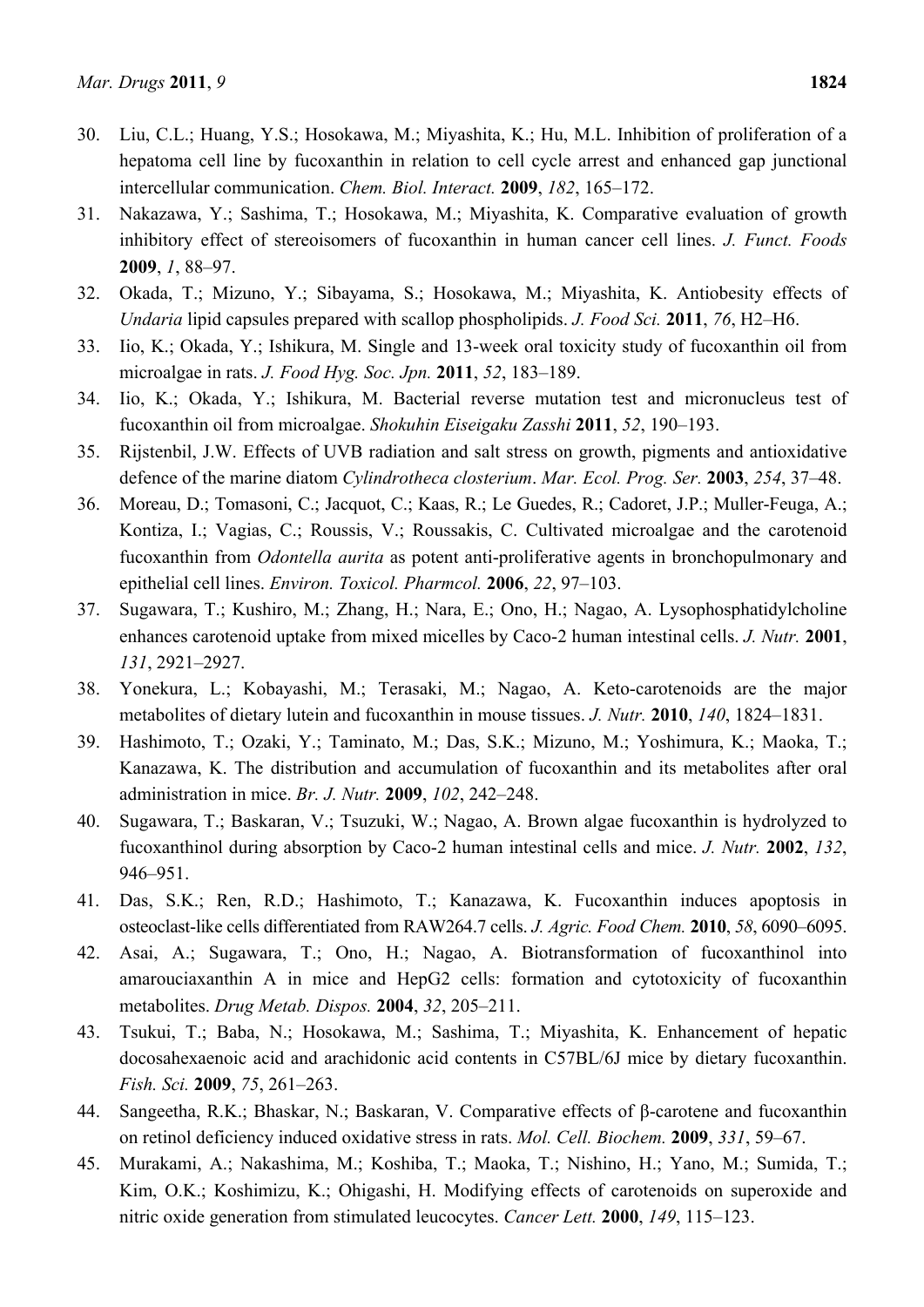- 30. Liu, C.L.; Huang, Y.S.; Hosokawa, M.; Miyashita, K.; Hu, M.L. Inhibition of proliferation of a hepatoma cell line by fucoxanthin in relation to cell cycle arrest and enhanced gap junctional intercellular communication. *Chem. Biol. Interact.* **2009**, *182*, 165–172.
- 31. Nakazawa, Y.; Sashima, T.; Hosokawa, M.; Miyashita, K. Comparative evaluation of growth inhibitory effect of stereoisomers of fucoxanthin in human cancer cell lines. *J. Funct. Foods* **2009**, *1*, 88–97.
- 32. Okada, T.; Mizuno, Y.; Sibayama, S.; Hosokawa, M.; Miyashita, K. Antiobesity effects of *Undaria* lipid capsules prepared with scallop phospholipids. *J. Food Sci.* **2011**, *76*, H2–H6.
- 33. Iio, K.; Okada, Y.; Ishikura, M. Single and 13-week oral toxicity study of fucoxanthin oil from microalgae in rats. *J. Food Hyg. Soc. Jpn.* **2011**, *52*, 183–189.
- 34. Iio, K.; Okada, Y.; Ishikura, M. Bacterial reverse mutation test and micronucleus test of fucoxanthin oil from microalgae. *Shokuhin Eiseigaku Zasshi* **2011**, *52*, 190–193.
- 35. Rijstenbil, J.W. Effects of UVB radiation and salt stress on growth, pigments and antioxidative defence of the marine diatom *Cylindrotheca closterium*. *Mar. Ecol. Prog. Ser.* **2003**, *254*, 37–48.
- 36. Moreau, D.; Tomasoni, C.; Jacquot, C.; Kaas, R.; Le Guedes, R.; Cadoret, J.P.; Muller-Feuga, A.; Kontiza, I.; Vagias, C.; Roussis, V.; Roussakis, C. Cultivated microalgae and the carotenoid fucoxanthin from *Odontella aurita* as potent anti-proliferative agents in bronchopulmonary and epithelial cell lines. *Environ. Toxicol. Pharmcol.* **2006**, *22*, 97–103.
- 37. Sugawara, T.; Kushiro, M.; Zhang, H.; Nara, E.; Ono, H.; Nagao, A. Lysophosphatidylcholine enhances carotenoid uptake from mixed micelles by Caco-2 human intestinal cells. *J. Nutr.* **2001**, *131*, 2921–2927.
- 38. Yonekura, L.; Kobayashi, M.; Terasaki, M.; Nagao, A. Keto-carotenoids are the major metabolites of dietary lutein and fucoxanthin in mouse tissues. *J. Nutr.* **2010**, *140*, 1824–1831.
- 39. Hashimoto, T.; Ozaki, Y.; Taminato, M.; Das, S.K.; Mizuno, M.; Yoshimura, K.; Maoka, T.; Kanazawa, K. The distribution and accumulation of fucoxanthin and its metabolites after oral administration in mice. *Br. J. Nutr.* **2009**, *102*, 242–248.
- 40. Sugawara, T.; Baskaran, V.; Tsuzuki, W.; Nagao, A. Brown algae fucoxanthin is hydrolyzed to fucoxanthinol during absorption by Caco-2 human intestinal cells and mice. *J. Nutr.* **2002**, *132*, 946–951.
- 41. Das, S.K.; Ren, R.D.; Hashimoto, T.; Kanazawa, K. Fucoxanthin induces apoptosis in osteoclast-like cells differentiated from RAW264.7 cells. *J. Agric. Food Chem.* **2010**, *58*, 6090–6095.
- 42. Asai, A.; Sugawara, T.; Ono, H.; Nagao, A. Biotransformation of fucoxanthinol into amarouciaxanthin A in mice and HepG2 cells: formation and cytotoxicity of fucoxanthin metabolites. *Drug Metab. Dispos.* **2004**, *32*, 205–211.
- 43. Tsukui, T.; Baba, N.; Hosokawa, M.; Sashima, T.; Miyashita, K. Enhancement of hepatic docosahexaenoic acid and arachidonic acid contents in C57BL/6J mice by dietary fucoxanthin. *Fish. Sci.* **2009**, *75*, 261–263.
- 44. Sangeetha, R.K.; Bhaskar, N.; Baskaran, V. Comparative effects of β-carotene and fucoxanthin on retinol deficiency induced oxidative stress in rats. *Mol. Cell. Biochem.* **2009**, *331*, 59–67.
- 45. Murakami, A.; Nakashima, M.; Koshiba, T.; Maoka, T.; Nishino, H.; Yano, M.; Sumida, T.; Kim, O.K.; Koshimizu, K.; Ohigashi, H. Modifying effects of carotenoids on superoxide and nitric oxide generation from stimulated leucocytes. *Cancer Lett.* **2000**, *149*, 115–123.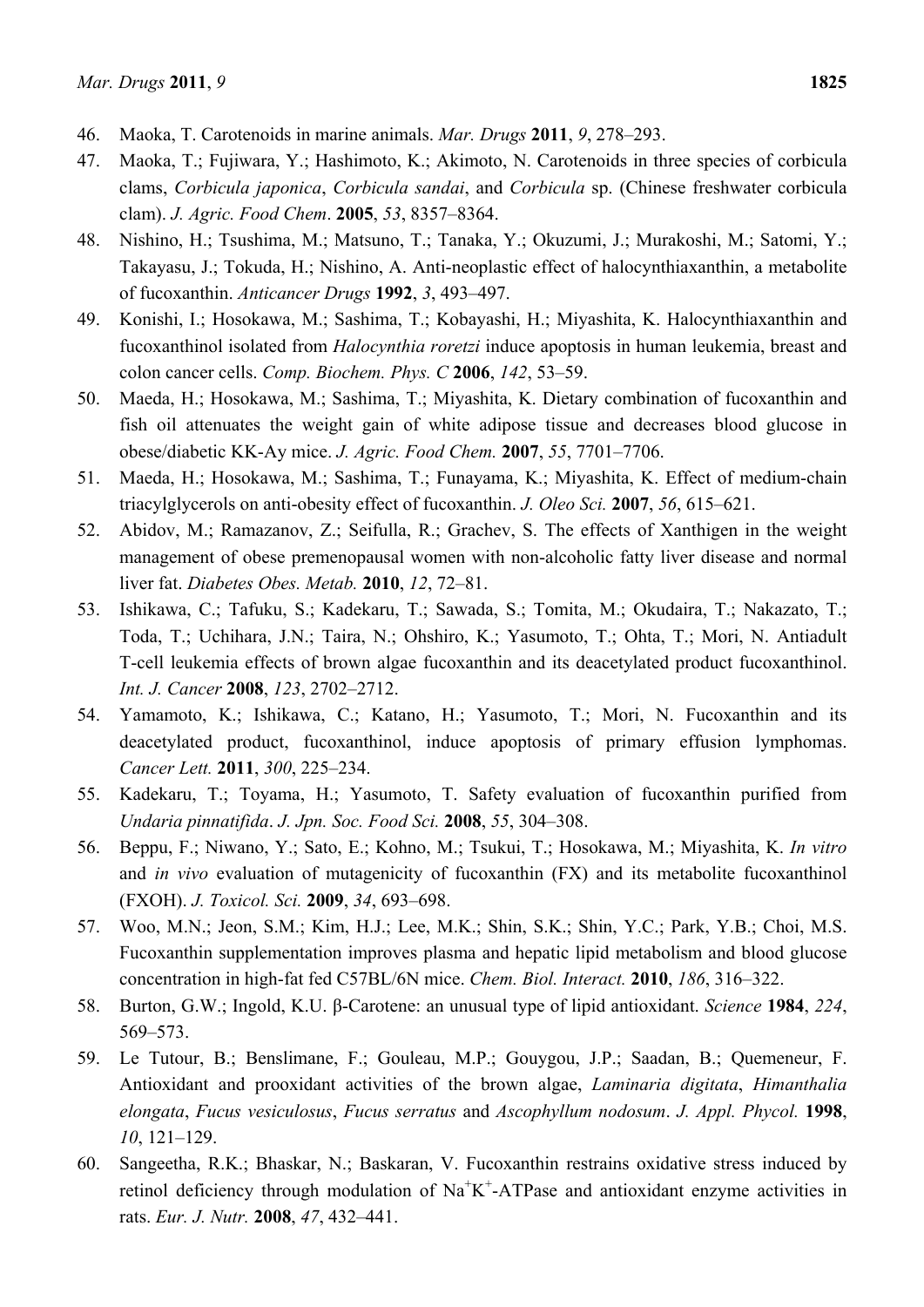- 46. Maoka, T. Carotenoids in marine animals. *Mar. Drugs* **2011**, *9*, 278–293.
- 47. Maoka, T.; Fujiwara, Y.; Hashimoto, K.; Akimoto, N. Carotenoids in three species of corbicula clams, *Corbicula japonica*, *Corbicula sandai*, and *Corbicula* sp. (Chinese freshwater corbicula clam). *J. Agric. Food Chem*. **2005**, *53*, 8357–8364.
- 48. Nishino, H.; Tsushima, M.; Matsuno, T.; Tanaka, Y.; Okuzumi, J.; Murakoshi, M.; Satomi, Y.; Takayasu, J.; Tokuda, H.; Nishino, A. Anti-neoplastic effect of halocynthiaxanthin, a metabolite of fucoxanthin. *Anticancer Drugs* **1992**, *3*, 493–497.
- 49. Konishi, I.; Hosokawa, M.; Sashima, T.; Kobayashi, H.; Miyashita, K. Halocynthiaxanthin and fucoxanthinol isolated from *Halocynthia roretzi* induce apoptosis in human leukemia, breast and colon cancer cells. *Comp. Biochem. Phys. C* **2006**, *142*, 53–59.
- 50. Maeda, H.; Hosokawa, M.; Sashima, T.; Miyashita, K. Dietary combination of fucoxanthin and fish oil attenuates the weight gain of white adipose tissue and decreases blood glucose in obese/diabetic KK-Ay mice. *J. Agric. Food Chem.* **2007**, *55*, 7701–7706.
- 51. Maeda, H.; Hosokawa, M.; Sashima, T.; Funayama, K.; Miyashita, K. Effect of medium-chain triacylglycerols on anti-obesity effect of fucoxanthin. *J. Oleo Sci.* **2007**, *56*, 615–621.
- 52. Abidov, M.; Ramazanov, Z.; Seifulla, R.; Grachev, S. The effects of Xanthigen in the weight management of obese premenopausal women with non-alcoholic fatty liver disease and normal liver fat. *Diabetes Obes. Metab.* **2010**, *12*, 72–81.
- 53. Ishikawa, C.; Tafuku, S.; Kadekaru, T.; Sawada, S.; Tomita, M.; Okudaira, T.; Nakazato, T.; Toda, T.; Uchihara, J.N.; Taira, N.; Ohshiro, K.; Yasumoto, T.; Ohta, T.; Mori, N. Antiadult T-cell leukemia effects of brown algae fucoxanthin and its deacetylated product fucoxanthinol. *Int. J. Cancer* **2008**, *123*, 2702–2712.
- 54. Yamamoto, K.; Ishikawa, C.; Katano, H.; Yasumoto, T.; Mori, N. Fucoxanthin and its deacetylated product, fucoxanthinol, induce apoptosis of primary effusion lymphomas. *Cancer Lett.* **2011**, *300*, 225–234.
- 55. Kadekaru, T.; Toyama, H.; Yasumoto, T. Safety evaluation of fucoxanthin purified from *Undaria pinnatifida*. *J. Jpn. Soc. Food Sci.* **2008**, *55*, 304–308.
- 56. Beppu, F.; Niwano, Y.; Sato, E.; Kohno, M.; Tsukui, T.; Hosokawa, M.; Miyashita, K. *In vitro* and *in vivo* evaluation of mutagenicity of fucoxanthin (FX) and its metabolite fucoxanthinol (FXOH). *J. Toxicol. Sci.* **2009**, *34*, 693–698.
- 57. Woo, M.N.; Jeon, S.M.; Kim, H.J.; Lee, M.K.; Shin, S.K.; Shin, Y.C.; Park, Y.B.; Choi, M.S. Fucoxanthin supplementation improves plasma and hepatic lipid metabolism and blood glucose concentration in high-fat fed C57BL/6N mice. *Chem. Biol. Interact.* **2010**, *186*, 316–322.
- 58. Burton, G.W.; Ingold, K.U. β-Carotene: an unusual type of lipid antioxidant. *Science* **1984**, *224*, 569–573.
- 59. Le Tutour, B.; Benslimane, F.; Gouleau, M.P.; Gouygou, J.P.; Saadan, B.; Quemeneur, F. Antioxidant and prooxidant activities of the brown algae, *Laminaria digitata*, *Himanthalia elongata*, *Fucus vesiculosus*, *Fucus serratus* and *Ascophyllum nodosum*. *J. Appl. Phycol.* **1998**, *10*, 121–129.
- 60. Sangeetha, R.K.; Bhaskar, N.; Baskaran, V. Fucoxanthin restrains oxidative stress induced by retinol deficiency through modulation of  $Na<sup>+</sup>K<sup>+</sup>-ATP$ ase and antioxidant enzyme activities in rats. *Eur. J. Nutr.* **2008**, *47*, 432–441.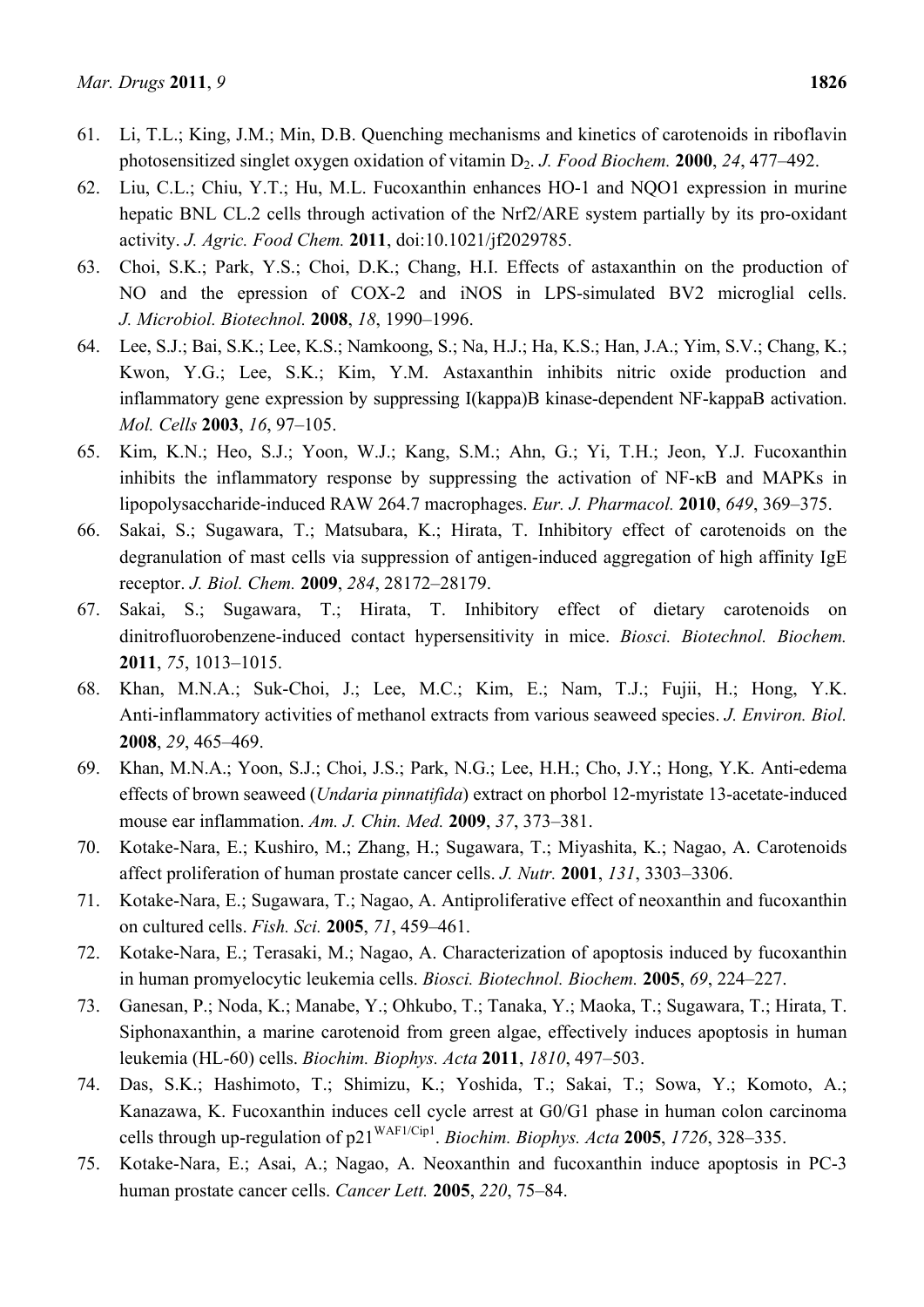- 61. Li, T.L.; King, J.M.; Min, D.B. Quenching mechanisms and kinetics of carotenoids in riboflavin photosensitized singlet oxygen oxidation of vitamin D2. *J. Food Biochem.* **2000**, *24*, 477–492.
- 62. Liu, C.L.; Chiu, Y.T.; Hu, M.L. Fucoxanthin enhances HO-1 and NQO1 expression in murine hepatic BNL CL.2 cells through activation of the Nrf2/ARE system partially by its pro-oxidant activity. *J. Agric. Food Chem.* **2011**, doi:10.1021/jf2029785.
- 63. Choi, S.K.; Park, Y.S.; Choi, D.K.; Chang, H.I. Effects of astaxanthin on the production of NO and the epression of COX-2 and iNOS in LPS-simulated BV2 microglial cells. *J. Microbiol. Biotechnol.* **2008**, *18*, 1990–1996.
- 64. Lee, S.J.; Bai, S.K.; Lee, K.S.; Namkoong, S.; Na, H.J.; Ha, K.S.; Han, J.A.; Yim, S.V.; Chang, K.; Kwon, Y.G.; Lee, S.K.; Kim, Y.M. Astaxanthin inhibits nitric oxide production and inflammatory gene expression by suppressing I(kappa)B kinase-dependent NF-kappaB activation. *Mol. Cells* **2003**, *16*, 97–105.
- 65. Kim, K.N.; Heo, S.J.; Yoon, W.J.; Kang, S.M.; Ahn, G.; Yi, T.H.; Jeon, Y.J. Fucoxanthin inhibits the inflammatory response by suppressing the activation of NF-κB and MAPKs in lipopolysaccharide-induced RAW 264.7 macrophages. *Eur. J. Pharmacol.* **2010**, *649*, 369–375.
- 66. Sakai, S.; Sugawara, T.; Matsubara, K.; Hirata, T. Inhibitory effect of carotenoids on the degranulation of mast cells via suppression of antigen-induced aggregation of high affinity IgE receptor. *J. Biol. Chem.* **2009**, *284*, 28172–28179.
- 67. Sakai, S.; Sugawara, T.; Hirata, T. Inhibitory effect of dietary carotenoids on dinitrofluorobenzene-induced contact hypersensitivity in mice. *Biosci. Biotechnol. Biochem.* **2011**, *75*, 1013–1015.
- 68. Khan, M.N.A.; Suk-Choi, J.; Lee, M.C.; Kim, E.; Nam, T.J.; Fujii, H.; Hong, Y.K. Anti-inflammatory activities of methanol extracts from various seaweed species. *J. Environ. Biol.* **2008**, *29*, 465–469.
- 69. Khan, M.N.A.; Yoon, S.J.; Choi, J.S.; Park, N.G.; Lee, H.H.; Cho, J.Y.; Hong, Y.K. Anti-edema effects of brown seaweed (*Undaria pinnatifida*) extract on phorbol 12-myristate 13-acetate-induced mouse ear inflammation. *Am. J. Chin. Med.* **2009**, *37*, 373–381.
- 70. Kotake-Nara, E.; Kushiro, M.; Zhang, H.; Sugawara, T.; Miyashita, K.; Nagao, A. Carotenoids affect proliferation of human prostate cancer cells. *J. Nutr.* **2001**, *131*, 3303–3306.
- 71. Kotake-Nara, E.; Sugawara, T.; Nagao, A. Antiproliferative effect of neoxanthin and fucoxanthin on cultured cells. *Fish. Sci.* **2005**, *71*, 459–461.
- 72. Kotake-Nara, E.; Terasaki, M.; Nagao, A. Characterization of apoptosis induced by fucoxanthin in human promyelocytic leukemia cells. *Biosci. Biotechnol. Biochem.* **2005**, *69*, 224–227.
- 73. Ganesan, P.; Noda, K.; Manabe, Y.; Ohkubo, T.; Tanaka, Y.; Maoka, T.; Sugawara, T.; Hirata, T. Siphonaxanthin, a marine carotenoid from green algae, effectively induces apoptosis in human leukemia (HL-60) cells. *Biochim. Biophys. Acta* **2011**, *1810*, 497–503.
- 74. Das, S.K.; Hashimoto, T.; Shimizu, K.; Yoshida, T.; Sakai, T.; Sowa, Y.; Komoto, A.; Kanazawa, K. Fucoxanthin induces cell cycle arrest at G0/G1 phase in human colon carcinoma cells through up-regulation of p21WAF1/Cip1. *Biochim. Biophys. Acta* **2005**, *1726*, 328–335.
- 75. Kotake-Nara, E.; Asai, A.; Nagao, A. Neoxanthin and fucoxanthin induce apoptosis in PC-3 human prostate cancer cells. *Cancer Lett.* **2005**, *220*, 75–84.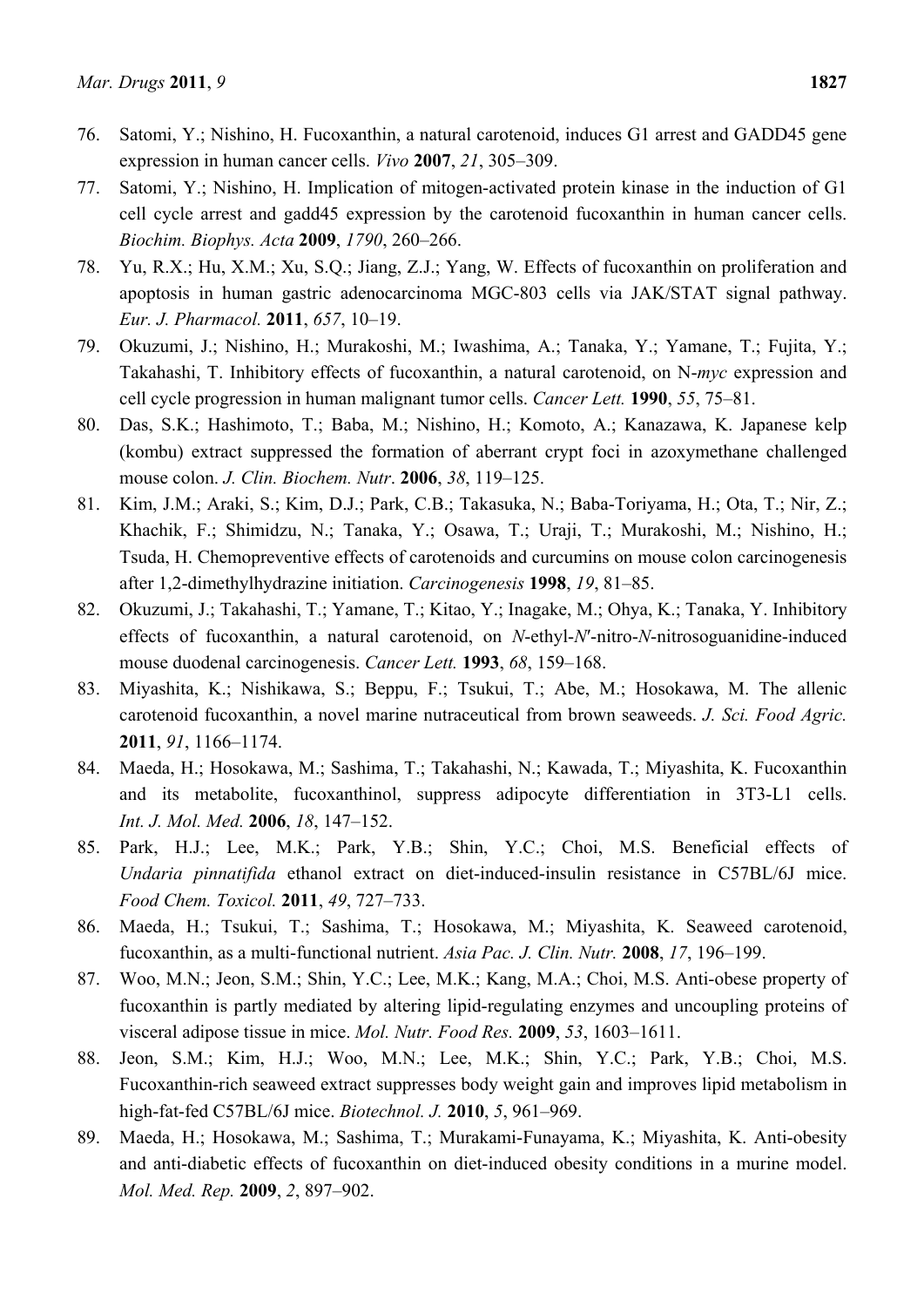- 76. Satomi, Y.; Nishino, H. Fucoxanthin, a natural carotenoid, induces G1 arrest and GADD45 gene expression in human cancer cells. *Vivo* **2007**, *21*, 305–309.
- 77. Satomi, Y.; Nishino, H. Implication of mitogen-activated protein kinase in the induction of G1 cell cycle arrest and gadd45 expression by the carotenoid fucoxanthin in human cancer cells. *Biochim. Biophys. Acta* **2009**, *1790*, 260–266.
- 78. Yu, R.X.; Hu, X.M.; Xu, S.Q.; Jiang, Z.J.; Yang, W. Effects of fucoxanthin on proliferation and apoptosis in human gastric adenocarcinoma MGC-803 cells via JAK/STAT signal pathway. *Eur. J. Pharmacol.* **2011**, *657*, 10–19.
- 79. Okuzumi, J.; Nishino, H.; Murakoshi, M.; Iwashima, A.; Tanaka, Y.; Yamane, T.; Fujita, Y.; Takahashi, T. Inhibitory effects of fucoxanthin, a natural carotenoid, on N-*myc* expression and cell cycle progression in human malignant tumor cells. *Cancer Lett.* **1990**, *55*, 75–81.
- 80. Das, S.K.; Hashimoto, T.; Baba, M.; Nishino, H.; Komoto, A.; Kanazawa, K. Japanese kelp (kombu) extract suppressed the formation of aberrant crypt foci in azoxymethane challenged mouse colon. *J. Clin. Biochem. Nutr*. **2006**, *38*, 119–125.
- 81. Kim, J.M.; Araki, S.; Kim, D.J.; Park, C.B.; Takasuka, N.; Baba-Toriyama, H.; Ota, T.; Nir, Z.; Khachik, F.; Shimidzu, N.; Tanaka, Y.; Osawa, T.; Uraji, T.; Murakoshi, M.; Nishino, H.; Tsuda, H. Chemopreventive effects of carotenoids and curcumins on mouse colon carcinogenesis after 1,2-dimethylhydrazine initiation. *Carcinogenesis* **1998**, *19*, 81–85.
- 82. Okuzumi, J.; Takahashi, T.; Yamane, T.; Kitao, Y.; Inagake, M.; Ohya, K.; Tanaka, Y. Inhibitory effects of fucoxanthin, a natural carotenoid, on *N*-ethyl-*N*′-nitro-*N*-nitrosoguanidine-induced mouse duodenal carcinogenesis. *Cancer Lett.* **1993**, *68*, 159–168.
- 83. Miyashita, K.; Nishikawa, S.; Beppu, F.; Tsukui, T.; Abe, M.; Hosokawa, M. The allenic carotenoid fucoxanthin, a novel marine nutraceutical from brown seaweeds. *J. Sci. Food Agric.* **2011**, *91*, 1166–1174.
- 84. Maeda, H.; Hosokawa, M.; Sashima, T.; Takahashi, N.; Kawada, T.; Miyashita, K. Fucoxanthin and its metabolite, fucoxanthinol, suppress adipocyte differentiation in 3T3-L1 cells. *Int. J. Mol. Med.* **2006**, *18*, 147–152.
- 85. Park, H.J.; Lee, M.K.; Park, Y.B.; Shin, Y.C.; Choi, M.S. Beneficial effects of *Undaria pinnatifida* ethanol extract on diet-induced-insulin resistance in C57BL/6J mice. *Food Chem. Toxicol.* **2011**, *49*, 727–733.
- 86. Maeda, H.; Tsukui, T.; Sashima, T.; Hosokawa, M.; Miyashita, K. Seaweed carotenoid, fucoxanthin, as a multi-functional nutrient. *Asia Pac. J. Clin. Nutr.* **2008**, *17*, 196–199.
- 87. Woo, M.N.; Jeon, S.M.; Shin, Y.C.; Lee, M.K.; Kang, M.A.; Choi, M.S. Anti-obese property of fucoxanthin is partly mediated by altering lipid-regulating enzymes and uncoupling proteins of visceral adipose tissue in mice. *Mol. Nutr. Food Res.* **2009**, *53*, 1603–1611.
- 88. Jeon, S.M.; Kim, H.J.; Woo, M.N.; Lee, M.K.; Shin, Y.C.; Park, Y.B.; Choi, M.S. Fucoxanthin-rich seaweed extract suppresses body weight gain and improves lipid metabolism in high-fat-fed C57BL/6J mice. *Biotechnol. J.* **2010**, *5*, 961–969.
- 89. Maeda, H.; Hosokawa, M.; Sashima, T.; Murakami-Funayama, K.; Miyashita, K. Anti-obesity and anti-diabetic effects of fucoxanthin on diet-induced obesity conditions in a murine model. *Mol. Med. Rep.* **2009**, *2*, 897–902.